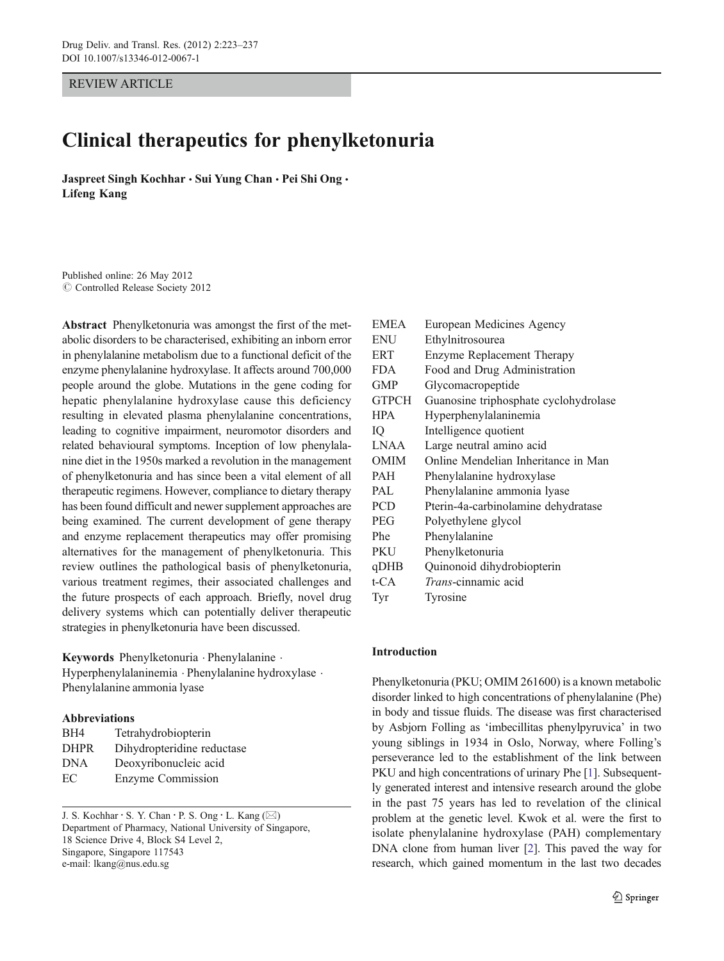REVIEW ARTICLE

# Clinical therapeutics for phenylketonuria

Jaspreet Singh Kochhar · Sui Yung Chan · Pei Shi Ong · Lifeng Kang

Published online: 26 May 2012  $\oslash$  Controlled Release Society 2012

Abstract Phenylketonuria was amongst the first of the metabolic disorders to be characterised, exhibiting an inborn error in phenylalanine metabolism due to a functional deficit of the enzyme phenylalanine hydroxylase. It affects around 700,000 people around the globe. Mutations in the gene coding for hepatic phenylalanine hydroxylase cause this deficiency resulting in elevated plasma phenylalanine concentrations, leading to cognitive impairment, neuromotor disorders and related behavioural symptoms. Inception of low phenylalanine diet in the 1950s marked a revolution in the management of phenylketonuria and has since been a vital element of all therapeutic regimens. However, compliance to dietary therapy has been found difficult and newer supplement approaches are being examined. The current development of gene therapy and enzyme replacement therapeutics may offer promising alternatives for the management of phenylketonuria. This review outlines the pathological basis of phenylketonuria, various treatment regimes, their associated challenges and the future prospects of each approach. Briefly, novel drug delivery systems which can potentially deliver therapeutic strategies in phenylketonuria have been discussed.

Keywords Phenylketonuria . Phenylalanine . Hyperphenylalaninemia . Phenylalanine hydroxylase . Phenylalanine ammonia lyase

# Abbreviations

| BH4         | Tetrahydrobiopterin        |
|-------------|----------------------------|
| <b>DHPR</b> | Dihydropteridine reductase |
| DNA         | Deoxyribonucleic acid      |
| EС          | Enzyme Commission          |

J. S. Kochhar · S. Y. Chan · P. S. Ong · L. Kang  $(\boxtimes)$ Department of Pharmacy, National University of Singapore, 18 Science Drive 4, Block S4 Level 2, Singapore, Singapore 117543 e-mail: lkang@nus.edu.sg

| <b>EMEA</b>  | European Medicines Agency             |
|--------------|---------------------------------------|
| <b>ENU</b>   | Ethylnitrosourea                      |
| <b>ERT</b>   | Enzyme Replacement Therapy            |
| <b>FDA</b>   | Food and Drug Administration          |
| <b>GMP</b>   | Glycomacropeptide                     |
| <b>GTPCH</b> | Guanosine triphosphate cyclohydrolase |
| <b>HPA</b>   | Hyperphenylalaninemia                 |
| IQ           | Intelligence quotient                 |
| <b>LNAA</b>  | Large neutral amino acid              |
| <b>OMIM</b>  | Online Mendelian Inheritance in Man   |
| PAH          | Phenylalanine hydroxylase             |
| PAL          | Phenylalanine ammonia lyase           |
| <b>PCD</b>   | Pterin-4a-carbinolamine dehydratase   |
| PEG.         | Polyethylene glycol                   |
| Phe          | Phenylalanine                         |
| PKU          | Phenylketonuria                       |
| qDHB         | Quinonoid dihydrobiopterin            |
| t-CA         | <i>Trans</i> -cinnamic acid           |
| Tyr          | Tyrosine                              |

# Introduction

Phenylketonuria (PKU; OMIM 261600) is a known metabolic disorder linked to high concentrations of phenylalanine (Phe) in body and tissue fluids. The disease was first characterised by Asbjorn Folling as 'imbecillitas phenylpyruvica' in two young siblings in 1934 in Oslo, Norway, where Folling's perseverance led to the establishment of the link between PKU and high concentrations of urinary Phe [\[1](#page-9-0)]. Subsequently generated interest and intensive research around the globe in the past 75 years has led to revelation of the clinical problem at the genetic level. Kwok et al. were the first to isolate phenylalanine hydroxylase (PAH) complementary DNA clone from human liver [\[2](#page-9-0)]. This paved the way for research, which gained momentum in the last two decades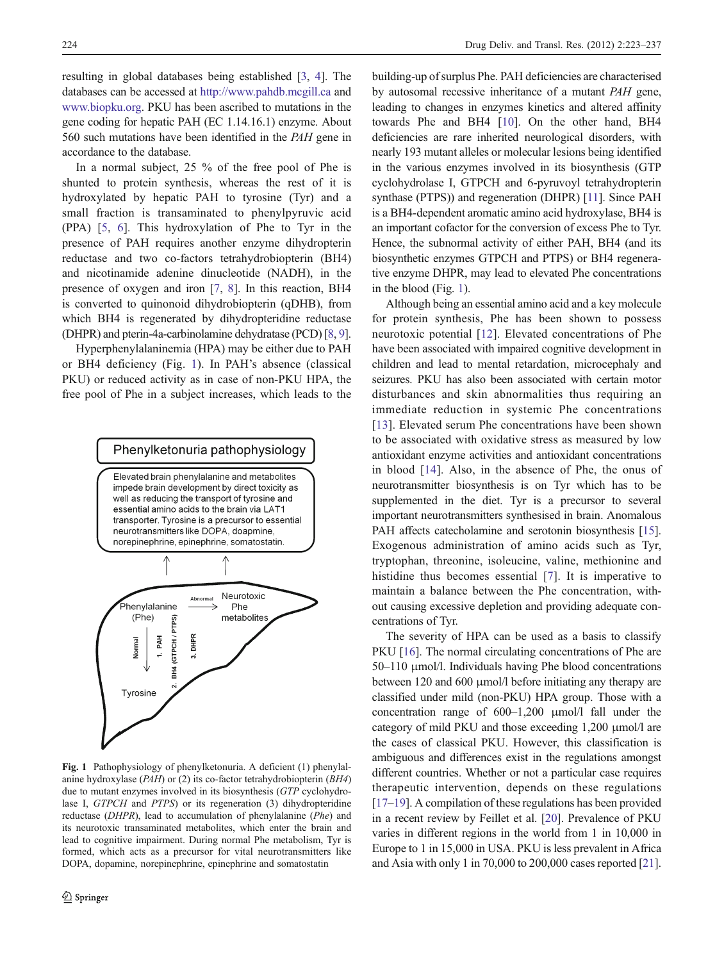<span id="page-1-0"></span>resulting in global databases being established [[3](#page-9-0), [4](#page-9-0)]. The databases can be accessed at <http://www.pahdb.mcgill.ca> and [www.biopku.org](http://www.biopku.org). PKU has been ascribed to mutations in the gene coding for hepatic PAH (EC 1.14.16.1) enzyme. About 560 such mutations have been identified in the PAH gene in accordance to the database.

In a normal subject, 25 % of the free pool of Phe is shunted to protein synthesis, whereas the rest of it is hydroxylated by hepatic PAH to tyrosine (Tyr) and a small fraction is transaminated to phenylpyruvic acid (PPA) [[5,](#page-9-0) [6\]](#page-9-0). This hydroxylation of Phe to Tyr in the presence of PAH requires another enzyme dihydropterin reductase and two co-factors tetrahydrobiopterin (BH4) and nicotinamide adenine dinucleotide (NADH), in the presence of oxygen and iron [\[7](#page-9-0), [8](#page-9-0)]. In this reaction, BH4 is converted to quinonoid dihydrobiopterin (qDHB), from which BH4 is regenerated by dihydropteridine reductase (DHPR) and pterin-4a-carbinolamine dehydratase (PCD) [\[8,](#page-9-0) [9\]](#page-9-0).

Hyperphenylalaninemia (HPA) may be either due to PAH or BH4 deficiency (Fig. 1). In PAH's absence (classical PKU) or reduced activity as in case of non-PKU HPA, the free pool of Phe in a subject increases, which leads to the



Fig. 1 Pathophysiology of phenylketonuria. A deficient (1) phenylalanine hydroxylase (PAH) or (2) its co-factor tetrahydrobiopterin (BH4) due to mutant enzymes involved in its biosynthesis (GTP cyclohydrolase I, GTPCH and PTPS) or its regeneration (3) dihydropteridine reductase (DHPR), lead to accumulation of phenylalanine (Phe) and its neurotoxic transaminated metabolites, which enter the brain and lead to cognitive impairment. During normal Phe metabolism, Tyr is formed, which acts as a precursor for vital neurotransmitters like DOPA, dopamine, norepinephrine, epinephrine and somatostatin

building-up of surplus Phe. PAH deficiencies are characterised by autosomal recessive inheritance of a mutant PAH gene, leading to changes in enzymes kinetics and altered affinity towards Phe and BH4 [[10\]](#page-9-0). On the other hand, BH4 deficiencies are rare inherited neurological disorders, with nearly 193 mutant alleles or molecular lesions being identified in the various enzymes involved in its biosynthesis (GTP cyclohydrolase I, GTPCH and 6-pyruvoyl tetrahydropterin synthase (PTPS)) and regeneration (DHPR) [\[11\]](#page-9-0). Since PAH is a BH4-dependent aromatic amino acid hydroxylase, BH4 is an important cofactor for the conversion of excess Phe to Tyr. Hence, the subnormal activity of either PAH, BH4 (and its biosynthetic enzymes GTPCH and PTPS) or BH4 regenerative enzyme DHPR, may lead to elevated Phe concentrations in the blood (Fig. 1).

Although being an essential amino acid and a key molecule for protein synthesis, Phe has been shown to possess neurotoxic potential [[12\]](#page-9-0). Elevated concentrations of Phe have been associated with impaired cognitive development in children and lead to mental retardation, microcephaly and seizures. PKU has also been associated with certain motor disturbances and skin abnormalities thus requiring an immediate reduction in systemic Phe concentrations [\[13\]](#page-10-0). Elevated serum Phe concentrations have been shown to be associated with oxidative stress as measured by low antioxidant enzyme activities and antioxidant concentrations in blood [\[14](#page-10-0)]. Also, in the absence of Phe, the onus of neurotransmitter biosynthesis is on Tyr which has to be supplemented in the diet. Tyr is a precursor to several important neurotransmitters synthesised in brain. Anomalous PAH affects catecholamine and serotonin biosynthesis [[15\]](#page-10-0). Exogenous administration of amino acids such as Tyr, tryptophan, threonine, isoleucine, valine, methionine and histidine thus becomes essential [\[7\]](#page-9-0). It is imperative to maintain a balance between the Phe concentration, without causing excessive depletion and providing adequate concentrations of Tyr.

The severity of HPA can be used as a basis to classify PKU [[16\]](#page-10-0). The normal circulating concentrations of Phe are 50–110 μmol/l. Individuals having Phe blood concentrations between 120 and 600 μmol/l before initiating any therapy are classified under mild (non-PKU) HPA group. Those with a concentration range of 600–1,200 μmol/l fall under the category of mild PKU and those exceeding 1,200 μmol/l are the cases of classical PKU. However, this classification is ambiguous and differences exist in the regulations amongst different countries. Whether or not a particular case requires therapeutic intervention, depends on these regulations [\[17](#page-10-0)–[19\]](#page-10-0). A compilation of these regulations has been provided in a recent review by Feillet et al. [[20](#page-10-0)]. Prevalence of PKU varies in different regions in the world from 1 in 10,000 in Europe to 1 in 15,000 in USA. PKU is less prevalent in Africa and Asia with only 1 in 70,000 to 200,000 cases reported [[21\]](#page-10-0).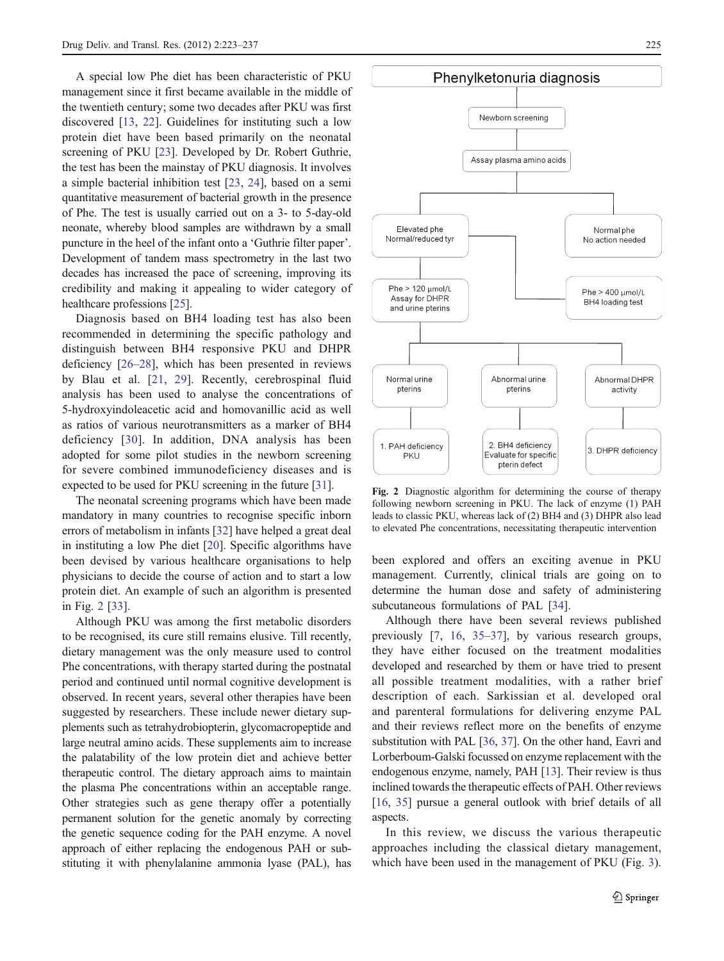A special low Phe diet has been characteristic of PKU management since it first became available in the middle of the twentieth century; some two decades after PKU was first discovered [\[13](#page-10-0), [22\]](#page-10-0). Guidelines for instituting such a low protein diet have been based primarily on the neonatal screening of PKU [[23\]](#page-10-0). Developed by Dr. Robert Guthrie, the test has been the mainstay of PKU diagnosis. It involves a simple bacterial inhibition test [\[23](#page-10-0), [24](#page-10-0)], based on a semi quantitative measurement of bacterial growth in the presence of Phe. The test is usually carried out on a 3- to 5-day-old neonate, whereby blood samples are withdrawn by a small puncture in the heel of the infant onto a 'Guthrie filter paper'. Development of tandem mass spectrometry in the last two decades has increased the pace of screening, improving its credibility and making it appealing to wider category of healthcare professions [\[25\]](#page-10-0).

Diagnosis based on BH4 loading test has also been recommended in determining the specific pathology and distinguish between BH4 responsive PKU and DHPR deficiency [[26](#page-10-0)–[28\]](#page-10-0), which has been presented in reviews by Blau et al. [[21](#page-10-0), [29\]](#page-10-0). Recently, cerebrospinal fluid analysis has been used to analyse the concentrations of 5-hydroxyindoleacetic acid and homovanillic acid as well as ratios of various neurotransmitters as a marker of BH4 deficiency [[30](#page-10-0)]. In addition, DNA analysis has been adopted for some pilot studies in the newborn screening for severe combined immunodeficiency diseases and is expected to be used for PKU screening in the future [[31](#page-10-0)].

The neonatal screening programs which have been made mandatory in many countries to recognise specific inborn errors of metabolism in infants [\[32](#page-10-0)] have helped a great deal in instituting a low Phe diet [\[20](#page-10-0)]. Specific algorithms have been devised by various healthcare organisations to help physicians to decide the course of action and to start a low protein diet. An example of such an algorithm is presented in Fig. 2 [[33\]](#page-10-0).

Although PKU was among the first metabolic disorders to be recognised, its cure still remains elusive. Till recently, dietary management was the only measure used to control Phe concentrations, with therapy started during the postnatal period and continued until normal cognitive development is observed. In recent years, several other therapies have been suggested by researchers. These include newer dietary supplements such as tetrahydrobiopterin, glycomacropeptide and large neutral amino acids. These supplements aim to increase the palatability of the low protein diet and achieve better therapeutic control. The dietary approach aims to maintain the plasma Phe concentrations within an acceptable range. Other strategies such as gene therapy offer a potentially permanent solution for the genetic anomaly by correcting the genetic sequence coding for the PAH enzyme. A novel approach of either replacing the endogenous PAH or substituting it with phenylalanine ammonia lyase (PAL), has



Fig. 2 Diagnostic algorithm for determining the course of therapy following newborn screening in PKU. The lack of enzyme (1) PAH leads to classic PKU, whereas lack of (2) BH4 and (3) DHPR also lead to elevated Phe concentrations, necessitating therapeutic intervention

been explored and offers an exciting avenue in PKU management. Currently, clinical trials are going on to determine the human dose and safety of administering subcutaneous formulations of PAL [\[34](#page-10-0)].

Although there have been several reviews published previously [\[7](#page-9-0), [16](#page-10-0), [35](#page-10-0)–[37\]](#page-10-0), by various research groups, they have either focused on the treatment modalities developed and researched by them or have tried to present all possible treatment modalities, with a rather brief description of each. Sarkissian et al. developed oral and parenteral formulations for delivering enzyme PAL and their reviews reflect more on the benefits of enzyme substitution with PAL [\[36](#page-10-0), [37](#page-10-0)]. On the other hand, Eavri and Lorberboum-Galski focussed on enzyme replacement with the endogenous enzyme, namely, PAH [\[13](#page-10-0)]. Their review is thus inclined towards the therapeutic effects of PAH. Other reviews [\[16](#page-10-0), [35\]](#page-10-0) pursue a general outlook with brief details of all aspects.

In this review, we discuss the various therapeutic approaches including the classical dietary management, which have been used in the management of PKU (Fig. [3\)](#page-3-0).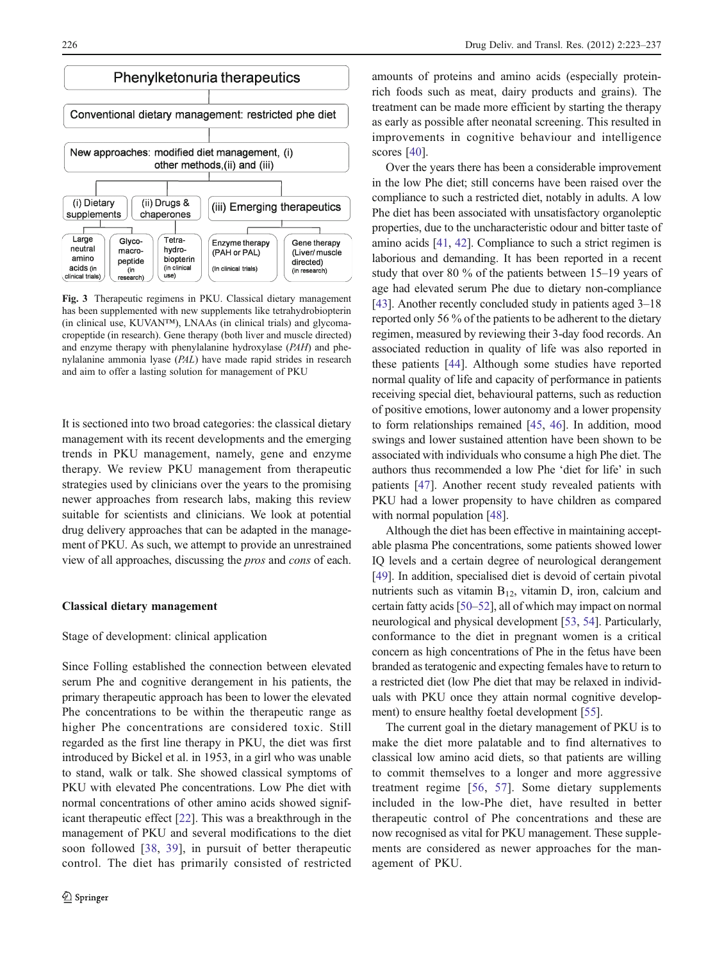<span id="page-3-0"></span>

Fig. 3 Therapeutic regimens in PKU. Classical dietary management has been supplemented with new supplements like tetrahydrobiopterin (in clinical use, KUVAN™), LNAAs (in clinical trials) and glycomacropeptide (in research). Gene therapy (both liver and muscle directed) and enzyme therapy with phenylalanine hydroxylase (PAH) and phenylalanine ammonia lyase (PAL) have made rapid strides in research and aim to offer a lasting solution for management of PKU

It is sectioned into two broad categories: the classical dietary management with its recent developments and the emerging trends in PKU management, namely, gene and enzyme therapy. We review PKU management from therapeutic strategies used by clinicians over the years to the promising newer approaches from research labs, making this review suitable for scientists and clinicians. We look at potential drug delivery approaches that can be adapted in the management of PKU. As such, we attempt to provide an unrestrained view of all approaches, discussing the pros and cons of each.

## Classical dietary management

## Stage of development: clinical application

Since Folling established the connection between elevated serum Phe and cognitive derangement in his patients, the primary therapeutic approach has been to lower the elevated Phe concentrations to be within the therapeutic range as higher Phe concentrations are considered toxic. Still regarded as the first line therapy in PKU, the diet was first introduced by Bickel et al. in 1953, in a girl who was unable to stand, walk or talk. She showed classical symptoms of PKU with elevated Phe concentrations. Low Phe diet with normal concentrations of other amino acids showed significant therapeutic effect [\[22](#page-10-0)]. This was a breakthrough in the management of PKU and several modifications to the diet soon followed [\[38](#page-10-0), [39\]](#page-10-0), in pursuit of better therapeutic control. The diet has primarily consisted of restricted

amounts of proteins and amino acids (especially proteinrich foods such as meat, dairy products and grains). The treatment can be made more efficient by starting the therapy as early as possible after neonatal screening. This resulted in improvements in cognitive behaviour and intelligence scores [[40\]](#page-10-0).

Over the years there has been a considerable improvement in the low Phe diet; still concerns have been raised over the compliance to such a restricted diet, notably in adults. A low Phe diet has been associated with unsatisfactory organoleptic properties, due to the uncharacteristic odour and bitter taste of amino acids [\[41](#page-10-0), [42](#page-10-0)]. Compliance to such a strict regimen is laborious and demanding. It has been reported in a recent study that over 80 % of the patients between 15–19 years of age had elevated serum Phe due to dietary non-compliance [\[43](#page-10-0)]. Another recently concluded study in patients aged 3–18 reported only 56 % of the patients to be adherent to the dietary regimen, measured by reviewing their 3-day food records. An associated reduction in quality of life was also reported in these patients [\[44](#page-10-0)]. Although some studies have reported normal quality of life and capacity of performance in patients receiving special diet, behavioural patterns, such as reduction of positive emotions, lower autonomy and a lower propensity to form relationships remained [\[45](#page-10-0), [46](#page-10-0)]. In addition, mood swings and lower sustained attention have been shown to be associated with individuals who consume a high Phe diet. The authors thus recommended a low Phe 'diet for life' in such patients [\[47](#page-10-0)]. Another recent study revealed patients with PKU had a lower propensity to have children as compared with normal population [\[48](#page-10-0)].

Although the diet has been effective in maintaining acceptable plasma Phe concentrations, some patients showed lower IQ levels and a certain degree of neurological derangement [\[49](#page-10-0)]. In addition, specialised diet is devoid of certain pivotal nutrients such as vitamin  $B_{12}$ , vitamin D, iron, calcium and certain fatty acids [[50](#page-10-0)–[52](#page-10-0)], all of which may impact on normal neurological and physical development [[53,](#page-10-0) [54](#page-10-0)]. Particularly, conformance to the diet in pregnant women is a critical concern as high concentrations of Phe in the fetus have been branded as teratogenic and expecting females have to return to a restricted diet (low Phe diet that may be relaxed in individuals with PKU once they attain normal cognitive development) to ensure healthy foetal development [[55\]](#page-11-0).

The current goal in the dietary management of PKU is to make the diet more palatable and to find alternatives to classical low amino acid diets, so that patients are willing to commit themselves to a longer and more aggressive treatment regime [\[56,](#page-11-0) [57\]](#page-11-0). Some dietary supplements included in the low-Phe diet, have resulted in better therapeutic control of Phe concentrations and these are now recognised as vital for PKU management. These supplements are considered as newer approaches for the management of PKU.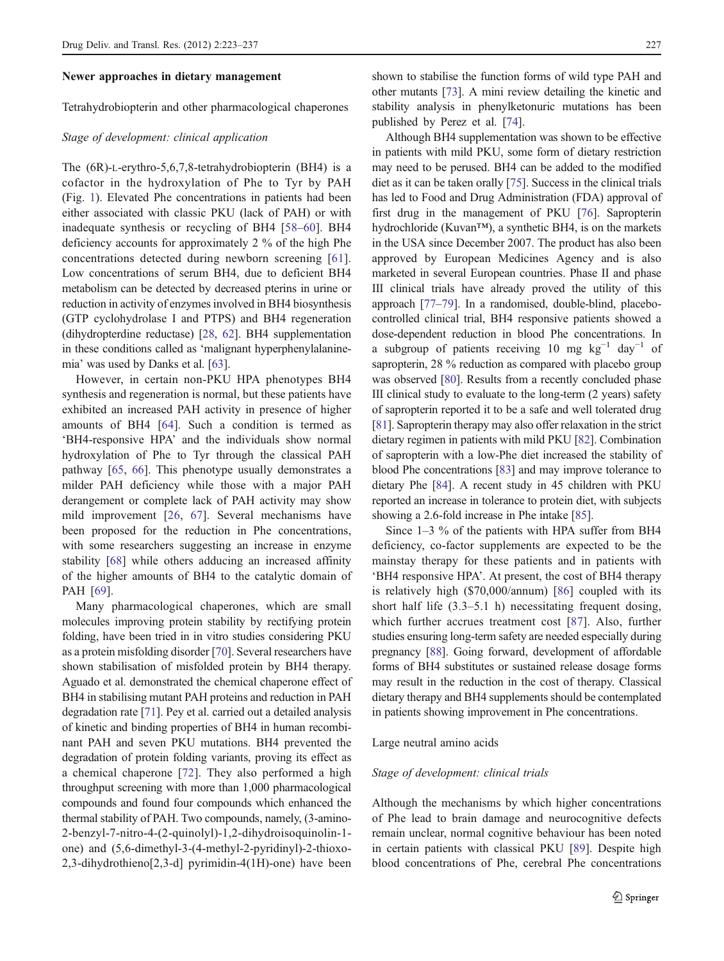### Newer approaches in dietary management

Tetrahydrobiopterin and other pharmacological chaperones

# Stage of development: clinical application

The (6R)-L-erythro-5,6,7,8-tetrahydrobiopterin (BH4) is a cofactor in the hydroxylation of Phe to Tyr by PAH (Fig. [1\)](#page-1-0). Elevated Phe concentrations in patients had been either associated with classic PKU (lack of PAH) or with inadequate synthesis or recycling of BH4 [[58](#page-11-0)–[60\]](#page-11-0). BH4 deficiency accounts for approximately 2 % of the high Phe concentrations detected during newborn screening [[61](#page-11-0)]. Low concentrations of serum BH4, due to deficient BH4 metabolism can be detected by decreased pterins in urine or reduction in activity of enzymes involved in BH4 biosynthesis (GTP cyclohydrolase I and PTPS) and BH4 regeneration (dihydropterdine reductase) [[28](#page-10-0), [62\]](#page-11-0). BH4 supplementation in these conditions called as 'malignant hyperphenylalaninemia' was used by Danks et al. [\[63](#page-11-0)].

However, in certain non-PKU HPA phenotypes BH4 synthesis and regeneration is normal, but these patients have exhibited an increased PAH activity in presence of higher amounts of BH4 [\[64](#page-11-0)]. Such a condition is termed as 'BH4-responsive HPA' and the individuals show normal hydroxylation of Phe to Tyr through the classical PAH pathway [[65,](#page-11-0) [66\]](#page-11-0). This phenotype usually demonstrates a milder PAH deficiency while those with a major PAH derangement or complete lack of PAH activity may show mild improvement [\[26](#page-10-0), [67\]](#page-11-0). Several mechanisms have been proposed for the reduction in Phe concentrations, with some researchers suggesting an increase in enzyme stability [[68\]](#page-11-0) while others adducing an increased affinity of the higher amounts of BH4 to the catalytic domain of PAH [[69\]](#page-11-0).

Many pharmacological chaperones, which are small molecules improving protein stability by rectifying protein folding, have been tried in in vitro studies considering PKU as a protein misfolding disorder [\[70](#page-11-0)]. Several researchers have shown stabilisation of misfolded protein by BH4 therapy. Aguado et al. demonstrated the chemical chaperone effect of BH4 in stabilising mutant PAH proteins and reduction in PAH degradation rate [[71\]](#page-11-0). Pey et al. carried out a detailed analysis of kinetic and binding properties of BH4 in human recombinant PAH and seven PKU mutations. BH4 prevented the degradation of protein folding variants, proving its effect as a chemical chaperone [[72\]](#page-11-0). They also performed a high throughput screening with more than 1,000 pharmacological compounds and found four compounds which enhanced the thermal stability of PAH. Two compounds, namely, (3-amino-2-benzyl-7-nitro-4-(2-quinolyl)-1,2-dihydroisoquinolin-1 one) and (5,6-dimethyl-3-(4-methyl-2-pyridinyl)-2-thioxo-2,3-dihydrothieno[2,3-d] pyrimidin-4(1H)-one) have been

shown to stabilise the function forms of wild type PAH and other mutants [\[73\]](#page-11-0). A mini review detailing the kinetic and stability analysis in phenylketonuric mutations has been published by Perez et al. [[74](#page-11-0)].

Although BH4 supplementation was shown to be effective in patients with mild PKU, some form of dietary restriction may need to be perused. BH4 can be added to the modified diet as it can be taken orally [[75\]](#page-11-0). Success in the clinical trials has led to Food and Drug Administration (FDA) approval of first drug in the management of PKU [\[76](#page-11-0)]. Sapropterin hydrochloride (Kuvan™), a synthetic BH4, is on the markets in the USA since December 2007. The product has also been approved by European Medicines Agency and is also marketed in several European countries. Phase II and phase III clinical trials have already proved the utility of this approach [[77](#page-11-0)–[79](#page-11-0)]. In a randomised, double-blind, placebocontrolled clinical trial, BH4 responsive patients showed a dose-dependent reduction in blood Phe concentrations. In a subgroup of patients receiving 10 mg  $kg^{-1}$  day<sup>-1</sup> of sapropterin, 28 % reduction as compared with placebo group was observed [[80](#page-11-0)]. Results from a recently concluded phase III clinical study to evaluate to the long-term (2 years) safety of sapropterin reported it to be a safe and well tolerated drug [\[81](#page-11-0)]. Sapropterin therapy may also offer relaxation in the strict dietary regimen in patients with mild PKU [[82\]](#page-11-0). Combination of sapropterin with a low-Phe diet increased the stability of blood Phe concentrations [\[83\]](#page-11-0) and may improve tolerance to dietary Phe [[84\]](#page-11-0). A recent study in 45 children with PKU reported an increase in tolerance to protein diet, with subjects showing a 2.6-fold increase in Phe intake [\[85\]](#page-11-0).

Since 1–3 % of the patients with HPA suffer from BH4 deficiency, co-factor supplements are expected to be the mainstay therapy for these patients and in patients with 'BH4 responsive HPA'. At present, the cost of BH4 therapy is relatively high (\$70,000/annum) [[86\]](#page-11-0) coupled with its short half life (3.3–5.1 h) necessitating frequent dosing, which further accrues treatment cost [[87\]](#page-11-0). Also, further studies ensuring long-term safety are needed especially during pregnancy [[88\]](#page-11-0). Going forward, development of affordable forms of BH4 substitutes or sustained release dosage forms may result in the reduction in the cost of therapy. Classical dietary therapy and BH4 supplements should be contemplated in patients showing improvement in Phe concentrations.

## Large neutral amino acids

## Stage of development: clinical trials

Although the mechanisms by which higher concentrations of Phe lead to brain damage and neurocognitive defects remain unclear, normal cognitive behaviour has been noted in certain patients with classical PKU [[89\]](#page-11-0). Despite high blood concentrations of Phe, cerebral Phe concentrations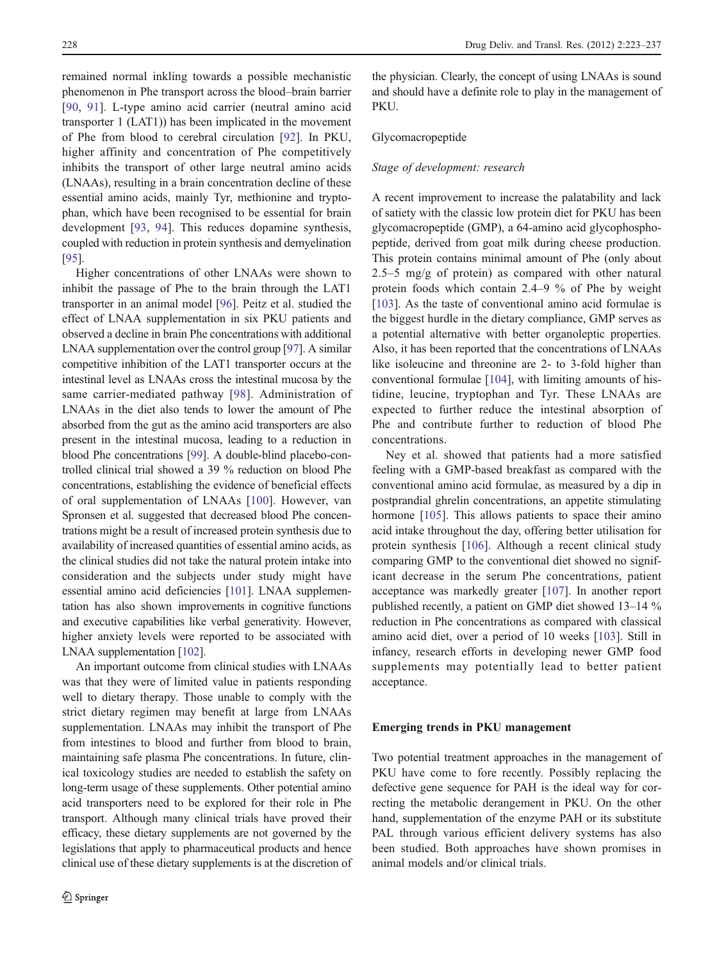remained normal inkling towards a possible mechanistic phenomenon in Phe transport across the blood–brain barrier [\[90,](#page-12-0) [91\]](#page-12-0). L-type amino acid carrier (neutral amino acid transporter 1 (LAT1)) has been implicated in the movement of Phe from blood to cerebral circulation [[92\]](#page-12-0). In PKU, higher affinity and concentration of Phe competitively inhibits the transport of other large neutral amino acids (LNAAs), resulting in a brain concentration decline of these essential amino acids, mainly Tyr, methionine and tryptophan, which have been recognised to be essential for brain development [[93,](#page-12-0) [94\]](#page-12-0). This reduces dopamine synthesis, coupled with reduction in protein synthesis and demyelination [\[95\]](#page-12-0).

Higher concentrations of other LNAAs were shown to inhibit the passage of Phe to the brain through the LAT1 transporter in an animal model [[96\]](#page-12-0). Peitz et al. studied the effect of LNAA supplementation in six PKU patients and observed a decline in brain Phe concentrations with additional LNAA supplementation over the control group [\[97\]](#page-12-0). A similar competitive inhibition of the LAT1 transporter occurs at the intestinal level as LNAAs cross the intestinal mucosa by the same carrier-mediated pathway [\[98\]](#page-12-0). Administration of LNAAs in the diet also tends to lower the amount of Phe absorbed from the gut as the amino acid transporters are also present in the intestinal mucosa, leading to a reduction in blood Phe concentrations [\[99\]](#page-12-0). A double-blind placebo-controlled clinical trial showed a 39 % reduction on blood Phe concentrations, establishing the evidence of beneficial effects of oral supplementation of LNAAs [[100](#page-12-0)]. However, van Spronsen et al. suggested that decreased blood Phe concentrations might be a result of increased protein synthesis due to availability of increased quantities of essential amino acids, as the clinical studies did not take the natural protein intake into consideration and the subjects under study might have essential amino acid deficiencies [[101](#page-12-0)]. LNAA supplementation has also shown improvements in cognitive functions and executive capabilities like verbal generativity. However, higher anxiety levels were reported to be associated with LNAA supplementation [[102](#page-12-0)].

An important outcome from clinical studies with LNAAs was that they were of limited value in patients responding well to dietary therapy. Those unable to comply with the strict dietary regimen may benefit at large from LNAAs supplementation. LNAAs may inhibit the transport of Phe from intestines to blood and further from blood to brain, maintaining safe plasma Phe concentrations. In future, clinical toxicology studies are needed to establish the safety on long-term usage of these supplements. Other potential amino acid transporters need to be explored for their role in Phe transport. Although many clinical trials have proved their efficacy, these dietary supplements are not governed by the legislations that apply to pharmaceutical products and hence clinical use of these dietary supplements is at the discretion of

the physician. Clearly, the concept of using LNAAs is sound and should have a definite role to play in the management of PKU.

# Glycomacropeptide

## Stage of development: research

A recent improvement to increase the palatability and lack of satiety with the classic low protein diet for PKU has been glycomacropeptide (GMP), a 64-amino acid glycophosphopeptide, derived from goat milk during cheese production. This protein contains minimal amount of Phe (only about 2.5–5 mg/g of protein) as compared with other natural protein foods which contain 2.4–9 % of Phe by weight [\[103](#page-12-0)]. As the taste of conventional amino acid formulae is the biggest hurdle in the dietary compliance, GMP serves as a potential alternative with better organoleptic properties. Also, it has been reported that the concentrations of LNAAs like isoleucine and threonine are 2- to 3-fold higher than conventional formulae [\[104](#page-12-0)], with limiting amounts of histidine, leucine, tryptophan and Tyr. These LNAAs are expected to further reduce the intestinal absorption of Phe and contribute further to reduction of blood Phe concentrations.

Ney et al. showed that patients had a more satisfied feeling with a GMP-based breakfast as compared with the conventional amino acid formulae, as measured by a dip in postprandial ghrelin concentrations, an appetite stimulating hormone [[105\]](#page-12-0). This allows patients to space their amino acid intake throughout the day, offering better utilisation for protein synthesis [\[106](#page-12-0)]. Although a recent clinical study comparing GMP to the conventional diet showed no significant decrease in the serum Phe concentrations, patient acceptance was markedly greater [[107](#page-12-0)]. In another report published recently, a patient on GMP diet showed 13–14 % reduction in Phe concentrations as compared with classical amino acid diet, over a period of 10 weeks [[103\]](#page-12-0). Still in infancy, research efforts in developing newer GMP food supplements may potentially lead to better patient acceptance.

## Emerging trends in PKU management

Two potential treatment approaches in the management of PKU have come to fore recently. Possibly replacing the defective gene sequence for PAH is the ideal way for correcting the metabolic derangement in PKU. On the other hand, supplementation of the enzyme PAH or its substitute PAL through various efficient delivery systems has also been studied. Both approaches have shown promises in animal models and/or clinical trials.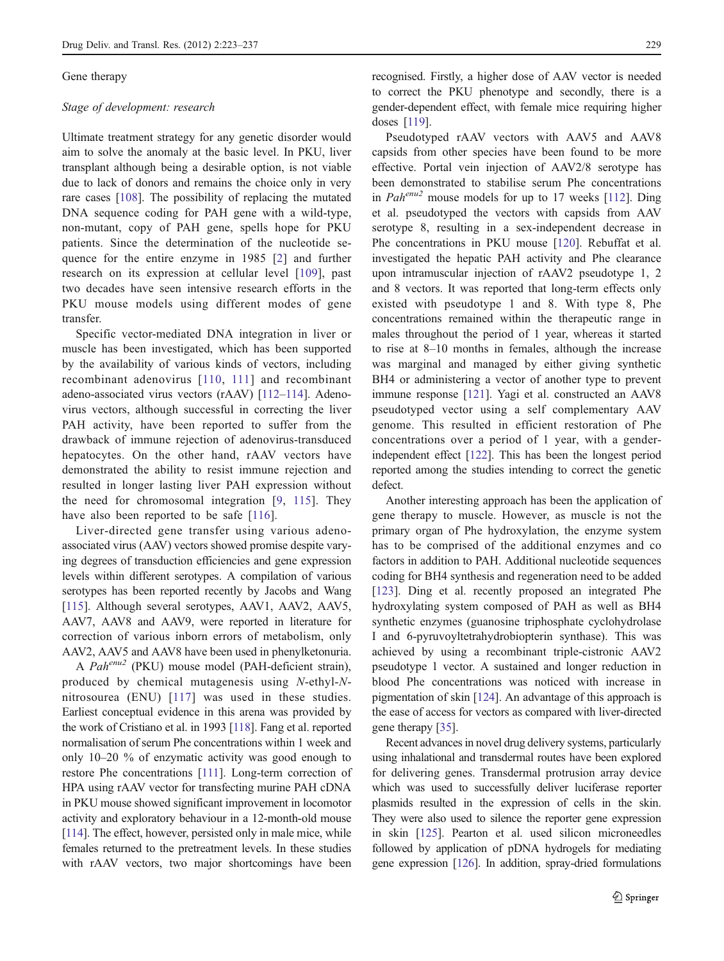## Gene therapy

## Stage of development: research

Ultimate treatment strategy for any genetic disorder would aim to solve the anomaly at the basic level. In PKU, liver transplant although being a desirable option, is not viable due to lack of donors and remains the choice only in very rare cases [\[108](#page-12-0)]. The possibility of replacing the mutated DNA sequence coding for PAH gene with a wild-type, non-mutant, copy of PAH gene, spells hope for PKU patients. Since the determination of the nucleotide sequence for the entire enzyme in 1985 [[2\]](#page-9-0) and further research on its expression at cellular level [\[109\]](#page-12-0), past two decades have seen intensive research efforts in the PKU mouse models using different modes of gene transfer.

Specific vector-mediated DNA integration in liver or muscle has been investigated, which has been supported by the availability of various kinds of vectors, including recombinant adenovirus [[110,](#page-12-0) [111](#page-12-0)] and recombinant adeno-associated virus vectors (rAAV) [\[112](#page-12-0)–[114\]](#page-12-0). Adenovirus vectors, although successful in correcting the liver PAH activity, have been reported to suffer from the drawback of immune rejection of adenovirus-transduced hepatocytes. On the other hand, rAAV vectors have demonstrated the ability to resist immune rejection and resulted in longer lasting liver PAH expression without the need for chromosomal integration [[9,](#page-9-0) [115](#page-12-0)]. They have also been reported to be safe [[116\]](#page-12-0).

Liver-directed gene transfer using various adenoassociated virus (AAV) vectors showed promise despite varying degrees of transduction efficiencies and gene expression levels within different serotypes. A compilation of various serotypes has been reported recently by Jacobs and Wang [\[115\]](#page-12-0). Although several serotypes, AAV1, AAV2, AAV5, AAV7, AAV8 and AAV9, were reported in literature for correction of various inborn errors of metabolism, only AAV2, AAV5 and AAV8 have been used in phenylketonuria.

A Pah<sup>enu2</sup> (PKU) mouse model (PAH-deficient strain), produced by chemical mutagenesis using N-ethyl-Nnitrosourea (ENU) [\[117\]](#page-12-0) was used in these studies. Earliest conceptual evidence in this arena was provided by the work of Cristiano et al. in 1993 [[118](#page-12-0)]. Fang et al. reported normalisation of serum Phe concentrations within 1 week and only 10–20 % of enzymatic activity was good enough to restore Phe concentrations [\[111](#page-12-0)]. Long-term correction of HPA using rAAV vector for transfecting murine PAH cDNA in PKU mouse showed significant improvement in locomotor activity and exploratory behaviour in a 12-month-old mouse [\[114](#page-12-0)]. The effect, however, persisted only in male mice, while females returned to the pretreatment levels. In these studies with rAAV vectors, two major shortcomings have been

recognised. Firstly, a higher dose of AAV vector is needed to correct the PKU phenotype and secondly, there is a gender-dependent effect, with female mice requiring higher doses [\[119\]](#page-12-0).

Pseudotyped rAAV vectors with AAV5 and AAV8 capsids from other species have been found to be more effective. Portal vein injection of AAV2/8 serotype has been demonstrated to stabilise serum Phe concentrations in  $Pah^{enu2}$  mouse models for up to 17 weeks [\[112\]](#page-12-0). Ding et al. pseudotyped the vectors with capsids from AAV serotype 8, resulting in a sex-independent decrease in Phe concentrations in PKU mouse [[120](#page-12-0)]. Rebuffat et al. investigated the hepatic PAH activity and Phe clearance upon intramuscular injection of rAAV2 pseudotype 1, 2 and 8 vectors. It was reported that long-term effects only existed with pseudotype 1 and 8. With type 8, Phe concentrations remained within the therapeutic range in males throughout the period of 1 year, whereas it started to rise at 8–10 months in females, although the increase was marginal and managed by either giving synthetic BH4 or administering a vector of another type to prevent immune response [\[121](#page-12-0)]. Yagi et al. constructed an AAV8 pseudotyped vector using a self complementary AAV genome. This resulted in efficient restoration of Phe concentrations over a period of 1 year, with a genderindependent effect [\[122](#page-12-0)]. This has been the longest period reported among the studies intending to correct the genetic defect.

Another interesting approach has been the application of gene therapy to muscle. However, as muscle is not the primary organ of Phe hydroxylation, the enzyme system has to be comprised of the additional enzymes and co factors in addition to PAH. Additional nucleotide sequences coding for BH4 synthesis and regeneration need to be added [\[123](#page-12-0)]. Ding et al. recently proposed an integrated Phe hydroxylating system composed of PAH as well as BH4 synthetic enzymes (guanosine triphosphate cyclohydrolase I and 6-pyruvoyltetrahydrobiopterin synthase). This was achieved by using a recombinant triple-cistronic AAV2 pseudotype 1 vector. A sustained and longer reduction in blood Phe concentrations was noticed with increase in pigmentation of skin [[124](#page-12-0)]. An advantage of this approach is the ease of access for vectors as compared with liver-directed gene therapy [[35\]](#page-10-0).

Recent advances in novel drug delivery systems, particularly using inhalational and transdermal routes have been explored for delivering genes. Transdermal protrusion array device which was used to successfully deliver luciferase reporter plasmids resulted in the expression of cells in the skin. They were also used to silence the reporter gene expression in skin [\[125](#page-12-0)]. Pearton et al. used silicon microneedles followed by application of pDNA hydrogels for mediating gene expression [[126](#page-12-0)]. In addition, spray-dried formulations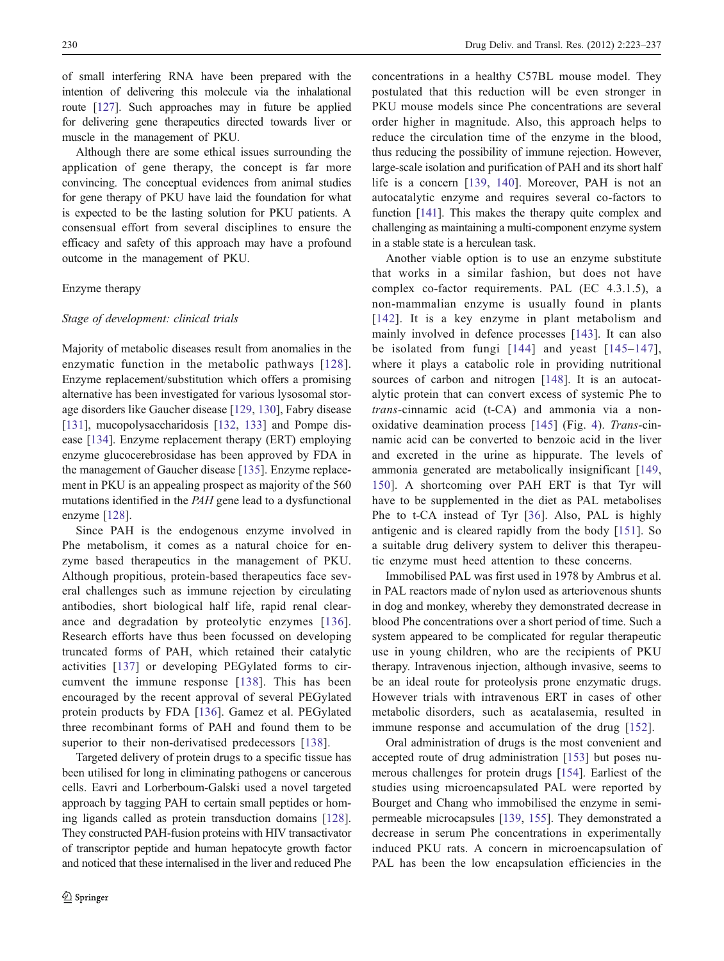of small interfering RNA have been prepared with the intention of delivering this molecule via the inhalational route [[127](#page-13-0)]. Such approaches may in future be applied for delivering gene therapeutics directed towards liver or muscle in the management of PKU.

Although there are some ethical issues surrounding the application of gene therapy, the concept is far more convincing. The conceptual evidences from animal studies for gene therapy of PKU have laid the foundation for what is expected to be the lasting solution for PKU patients. A consensual effort from several disciplines to ensure the efficacy and safety of this approach may have a profound outcome in the management of PKU.

## Enzyme therapy

#### Stage of development: clinical trials

Majority of metabolic diseases result from anomalies in the enzymatic function in the metabolic pathways [[128](#page-13-0)]. Enzyme replacement/substitution which offers a promising alternative has been investigated for various lysosomal storage disorders like Gaucher disease [\[129](#page-13-0), [130](#page-13-0)], Fabry disease [\[131](#page-13-0)], mucopolysaccharidosis [\[132](#page-13-0), [133](#page-13-0)] and Pompe disease [\[134\]](#page-13-0). Enzyme replacement therapy (ERT) employing enzyme glucocerebrosidase has been approved by FDA in the management of Gaucher disease [\[135](#page-13-0)]. Enzyme replacement in PKU is an appealing prospect as majority of the 560 mutations identified in the PAH gene lead to a dysfunctional enzyme [\[128](#page-13-0)].

Since PAH is the endogenous enzyme involved in Phe metabolism, it comes as a natural choice for enzyme based therapeutics in the management of PKU. Although propitious, protein-based therapeutics face several challenges such as immune rejection by circulating antibodies, short biological half life, rapid renal clearance and degradation by proteolytic enzymes [\[136](#page-13-0)]. Research efforts have thus been focussed on developing truncated forms of PAH, which retained their catalytic activities [\[137](#page-13-0)] or developing PEGylated forms to circumvent the immune response [\[138\]](#page-13-0). This has been encouraged by the recent approval of several PEGylated protein products by FDA [[136\]](#page-13-0). Gamez et al. PEGylated three recombinant forms of PAH and found them to be superior to their non-derivatised predecessors [[138](#page-13-0)].

Targeted delivery of protein drugs to a specific tissue has been utilised for long in eliminating pathogens or cancerous cells. Eavri and Lorberboum-Galski used a novel targeted approach by tagging PAH to certain small peptides or homing ligands called as protein transduction domains [\[128](#page-13-0)]. They constructed PAH-fusion proteins with HIV transactivator of transcriptor peptide and human hepatocyte growth factor and noticed that these internalised in the liver and reduced Phe concentrations in a healthy C57BL mouse model. They postulated that this reduction will be even stronger in PKU mouse models since Phe concentrations are several order higher in magnitude. Also, this approach helps to reduce the circulation time of the enzyme in the blood, thus reducing the possibility of immune rejection. However, large-scale isolation and purification of PAH and its short half life is a concern [[139,](#page-13-0) [140](#page-13-0)]. Moreover, PAH is not an autocatalytic enzyme and requires several co-factors to function [[141](#page-13-0)]. This makes the therapy quite complex and challenging as maintaining a multi-component enzyme system in a stable state is a herculean task.

Another viable option is to use an enzyme substitute that works in a similar fashion, but does not have complex co-factor requirements. PAL (EC 4.3.1.5), a non-mammalian enzyme is usually found in plants [[142](#page-13-0)]. It is a key enzyme in plant metabolism and mainly involved in defence processes [\[143\]](#page-13-0). It can also be isolated from fungi [\[144](#page-13-0)] and yeast [[145](#page-13-0)–[147](#page-13-0)], where it plays a catabolic role in providing nutritional sources of carbon and nitrogen [[148\]](#page-13-0). It is an autocatalytic protein that can convert excess of systemic Phe to trans-cinnamic acid (t-CA) and ammonia via a nonoxidative deamination process [\[145\]](#page-13-0) (Fig. [4\)](#page-8-0). Trans-cinnamic acid can be converted to benzoic acid in the liver and excreted in the urine as hippurate. The levels of ammonia generated are metabolically insignificant [[149,](#page-13-0) [150](#page-13-0)]. A shortcoming over PAH ERT is that Tyr will have to be supplemented in the diet as PAL metabolises Phe to t-CA instead of Tyr [[36](#page-10-0)]. Also, PAL is highly antigenic and is cleared rapidly from the body [[151\]](#page-13-0). So a suitable drug delivery system to deliver this therapeutic enzyme must heed attention to these concerns.

Immobilised PAL was first used in 1978 by Ambrus et al. in PAL reactors made of nylon used as arteriovenous shunts in dog and monkey, whereby they demonstrated decrease in blood Phe concentrations over a short period of time. Such a system appeared to be complicated for regular therapeutic use in young children, who are the recipients of PKU therapy. Intravenous injection, although invasive, seems to be an ideal route for proteolysis prone enzymatic drugs. However trials with intravenous ERT in cases of other metabolic disorders, such as acatalasemia, resulted in immune response and accumulation of the drug [[152](#page-13-0)].

Oral administration of drugs is the most convenient and accepted route of drug administration [[153\]](#page-13-0) but poses numerous challenges for protein drugs [\[154](#page-13-0)]. Earliest of the studies using microencapsulated PAL were reported by Bourget and Chang who immobilised the enzyme in semipermeable microcapsules [[139,](#page-13-0) [155\]](#page-13-0). They demonstrated a decrease in serum Phe concentrations in experimentally induced PKU rats. A concern in microencapsulation of PAL has been the low encapsulation efficiencies in the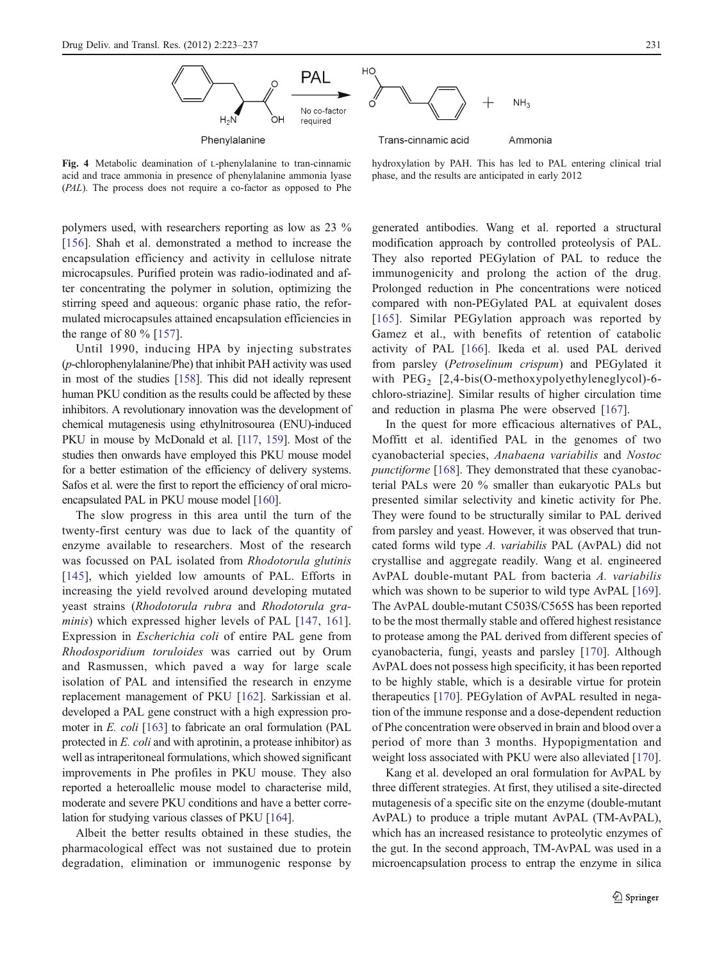

<span id="page-8-0"></span>Fig. 4 Metabolic deamination of L-phenylalanine to tran-cinnamic acid and trace ammonia in presence of phenylalanine ammonia lyase (PAL). The process does not require a co-factor as opposed to Phe

polymers used, with researchers reporting as low as 23 % [\[156](#page-13-0)]. Shah et al. demonstrated a method to increase the encapsulation efficiency and activity in cellulose nitrate microcapsules. Purified protein was radio-iodinated and after concentrating the polymer in solution, optimizing the stirring speed and aqueous: organic phase ratio, the reformulated microcapsules attained encapsulation efficiencies in the range of 80 % [[157\]](#page-13-0).

Until 1990, inducing HPA by injecting substrates (p-chlorophenylalanine/Phe) that inhibit PAH activity was used in most of the studies [[158](#page-13-0)]. This did not ideally represent human PKU condition as the results could be affected by these inhibitors. A revolutionary innovation was the development of chemical mutagenesis using ethylnitrosourea (ENU)-induced PKU in mouse by McDonald et al. [[117,](#page-12-0) [159](#page-13-0)]. Most of the studies then onwards have employed this PKU mouse model for a better estimation of the efficiency of delivery systems. Safos et al. were the first to report the efficiency of oral microencapsulated PAL in PKU mouse model [[160](#page-13-0)].

The slow progress in this area until the turn of the twenty-first century was due to lack of the quantity of enzyme available to researchers. Most of the research was focussed on PAL isolated from Rhodotorula glutinis [\[145\]](#page-13-0), which yielded low amounts of PAL. Efforts in increasing the yield revolved around developing mutated yeast strains (Rhodotorula rubra and Rhodotorula gra-minis) which expressed higher levels of PAL [\[147,](#page-13-0) [161](#page-13-0)]. Expression in Escherichia coli of entire PAL gene from Rhodosporidium toruloides was carried out by Orum and Rasmussen, which paved a way for large scale isolation of PAL and intensified the research in enzyme replacement management of PKU [\[162](#page-13-0)]. Sarkissian et al. developed a PAL gene construct with a high expression promoter in E. coli [\[163\]](#page-13-0) to fabricate an oral formulation (PAL protected in E. coli and with aprotinin, a protease inhibitor) as well as intraperitoneal formulations, which showed significant improvements in Phe profiles in PKU mouse. They also reported a heteroallelic mouse model to characterise mild, moderate and severe PKU conditions and have a better correlation for studying various classes of PKU [\[164\]](#page-13-0).

Albeit the better results obtained in these studies, the pharmacological effect was not sustained due to protein degradation, elimination or immunogenic response by hydroxylation by PAH. This has led to PAL entering clinical trial phase, and the results are anticipated in early 2012

generated antibodies. Wang et al. reported a structural modification approach by controlled proteolysis of PAL. They also reported PEGylation of PAL to reduce the immunogenicity and prolong the action of the drug. Prolonged reduction in Phe concentrations were noticed compared with non-PEGylated PAL at equivalent doses [[165](#page-13-0)]. Similar PEGylation approach was reported by Gamez et al., with benefits of retention of catabolic activity of PAL [\[166](#page-14-0)]. Ikeda et al. used PAL derived from parsley (Petroselinum crispum) and PEGylated it with  $PEG_2$  [2,4-bis(O-methoxypolyethyleneglycol)-6chloro-striazine]. Similar results of higher circulation time and reduction in plasma Phe were observed [[167\]](#page-14-0).

In the quest for more efficacious alternatives of PAL, Moffitt et al. identified PAL in the genomes of two cyanobacterial species, Anabaena variabilis and Nostoc punctiforme [\[168](#page-14-0)]. They demonstrated that these cyanobacterial PALs were 20 % smaller than eukaryotic PALs but presented similar selectivity and kinetic activity for Phe. They were found to be structurally similar to PAL derived from parsley and yeast. However, it was observed that truncated forms wild type A. variabilis PAL (AvPAL) did not crystallise and aggregate readily. Wang et al. engineered AvPAL double-mutant PAL from bacteria A. variabilis which was shown to be superior to wild type AvPAL [[169\]](#page-14-0). The AvPAL double-mutant C503S/C565S has been reported to be the most thermally stable and offered highest resistance to protease among the PAL derived from different species of cyanobacteria, fungi, yeasts and parsley [[170](#page-14-0)]. Although AvPAL does not possess high specificity, it has been reported to be highly stable, which is a desirable virtue for protein therapeutics [\[170](#page-14-0)]. PEGylation of AvPAL resulted in negation of the immune response and a dose-dependent reduction of Phe concentration were observed in brain and blood over a period of more than 3 months. Hypopigmentation and weight loss associated with PKU were also alleviated [[170\]](#page-14-0).

Kang et al. developed an oral formulation for AvPAL by three different strategies. At first, they utilised a site-directed mutagenesis of a specific site on the enzyme (double-mutant AvPAL) to produce a triple mutant AvPAL (TM-AvPAL), which has an increased resistance to proteolytic enzymes of the gut. In the second approach, TM-AvPAL was used in a microencapsulation process to entrap the enzyme in silica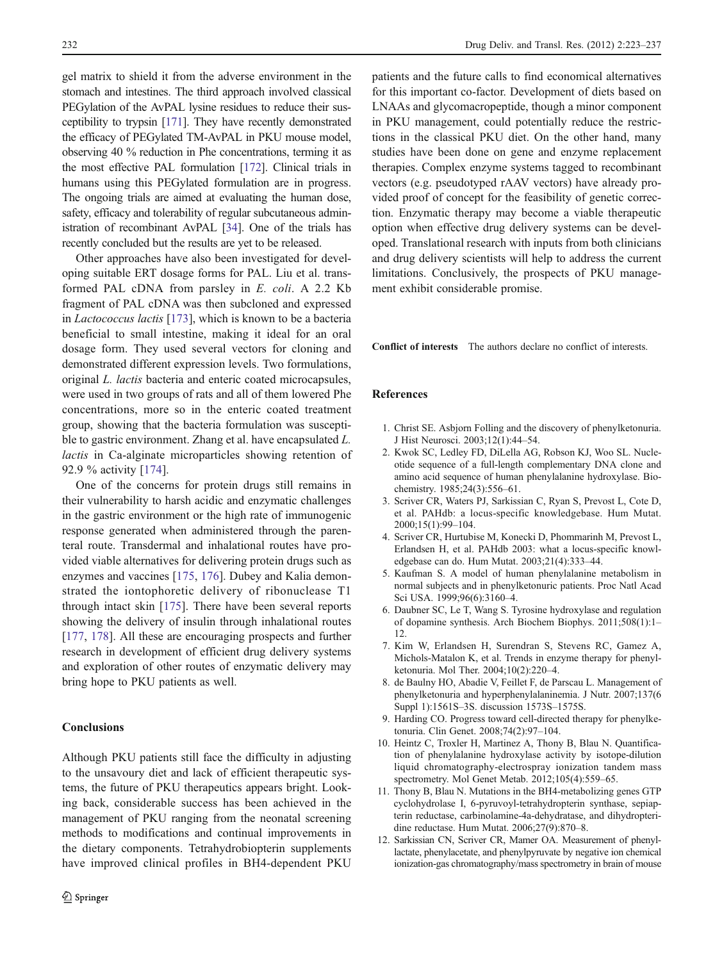<span id="page-9-0"></span>gel matrix to shield it from the adverse environment in the stomach and intestines. The third approach involved classical PEGylation of the AvPAL lysine residues to reduce their susceptibility to trypsin [\[171\]](#page-14-0). They have recently demonstrated the efficacy of PEGylated TM-AvPAL in PKU mouse model, observing 40 % reduction in Phe concentrations, terming it as the most effective PAL formulation [\[172\]](#page-14-0). Clinical trials in humans using this PEGylated formulation are in progress. The ongoing trials are aimed at evaluating the human dose, safety, efficacy and tolerability of regular subcutaneous administration of recombinant AvPAL [\[34\]](#page-10-0). One of the trials has recently concluded but the results are yet to be released.

Other approaches have also been investigated for developing suitable ERT dosage forms for PAL. Liu et al. transformed PAL cDNA from parsley in E. coli. A 2.2 Kb fragment of PAL cDNA was then subcloned and expressed in Lactococcus lactis [\[173](#page-14-0)], which is known to be a bacteria beneficial to small intestine, making it ideal for an oral dosage form. They used several vectors for cloning and demonstrated different expression levels. Two formulations, original L. lactis bacteria and enteric coated microcapsules, were used in two groups of rats and all of them lowered Phe concentrations, more so in the enteric coated treatment group, showing that the bacteria formulation was susceptible to gastric environment. Zhang et al. have encapsulated L. lactis in Ca-alginate microparticles showing retention of 92.9 % activity [\[174](#page-14-0)].

One of the concerns for protein drugs still remains in their vulnerability to harsh acidic and enzymatic challenges in the gastric environment or the high rate of immunogenic response generated when administered through the parenteral route. Transdermal and inhalational routes have provided viable alternatives for delivering protein drugs such as enzymes and vaccines [\[175](#page-14-0), [176](#page-14-0)]. Dubey and Kalia demonstrated the iontophoretic delivery of ribonuclease T1 through intact skin [\[175](#page-14-0)]. There have been several reports showing the delivery of insulin through inhalational routes [\[177](#page-14-0), [178\]](#page-14-0). All these are encouraging prospects and further research in development of efficient drug delivery systems and exploration of other routes of enzymatic delivery may bring hope to PKU patients as well.

## Conclusions

Although PKU patients still face the difficulty in adjusting to the unsavoury diet and lack of efficient therapeutic systems, the future of PKU therapeutics appears bright. Looking back, considerable success has been achieved in the management of PKU ranging from the neonatal screening methods to modifications and continual improvements in the dietary components. Tetrahydrobiopterin supplements have improved clinical profiles in BH4-dependent PKU

patients and the future calls to find economical alternatives for this important co-factor. Development of diets based on LNAAs and glycomacropeptide, though a minor component in PKU management, could potentially reduce the restrictions in the classical PKU diet. On the other hand, many studies have been done on gene and enzyme replacement therapies. Complex enzyme systems tagged to recombinant vectors (e.g. pseudotyped rAAV vectors) have already provided proof of concept for the feasibility of genetic correction. Enzymatic therapy may become a viable therapeutic option when effective drug delivery systems can be developed. Translational research with inputs from both clinicians and drug delivery scientists will help to address the current limitations. Conclusively, the prospects of PKU management exhibit considerable promise.

Conflict of interests The authors declare no conflict of interests.

#### References

- 1. Christ SE. Asbjorn Folling and the discovery of phenylketonuria. J Hist Neurosci. 2003;12(1):44–54.
- 2. Kwok SC, Ledley FD, DiLella AG, Robson KJ, Woo SL. Nucleotide sequence of a full-length complementary DNA clone and amino acid sequence of human phenylalanine hydroxylase. Biochemistry. 1985;24(3):556–61.
- 3. Scriver CR, Waters PJ, Sarkissian C, Ryan S, Prevost L, Cote D, et al. PAHdb: a locus-specific knowledgebase. Hum Mutat. 2000;15(1):99–104.
- 4. Scriver CR, Hurtubise M, Konecki D, Phommarinh M, Prevost L, Erlandsen H, et al. PAHdb 2003: what a locus-specific knowledgebase can do. Hum Mutat. 2003;21(4):333–44.
- 5. Kaufman S. A model of human phenylalanine metabolism in normal subjects and in phenylketonuric patients. Proc Natl Acad Sci USA. 1999;96(6):3160–4.
- 6. Daubner SC, Le T, Wang S. Tyrosine hydroxylase and regulation of dopamine synthesis. Arch Biochem Biophys. 2011;508(1):1– 12.
- 7. Kim W, Erlandsen H, Surendran S, Stevens RC, Gamez A, Michols-Matalon K, et al. Trends in enzyme therapy for phenylketonuria. Mol Ther. 2004;10(2):220–4.
- 8. de Baulny HO, Abadie V, Feillet F, de Parscau L. Management of phenylketonuria and hyperphenylalaninemia. J Nutr. 2007;137(6 Suppl 1):1561S–3S. discussion 1573S–1575S.
- 9. Harding CO. Progress toward cell-directed therapy for phenylketonuria. Clin Genet. 2008;74(2):97–104.
- 10. Heintz C, Troxler H, Martinez A, Thony B, Blau N. Quantification of phenylalanine hydroxylase activity by isotope-dilution liquid chromatography-electrospray ionization tandem mass spectrometry. Mol Genet Metab. 2012;105(4):559–65.
- 11. Thony B, Blau N. Mutations in the BH4-metabolizing genes GTP cyclohydrolase I, 6-pyruvoyl-tetrahydropterin synthase, sepiapterin reductase, carbinolamine-4a-dehydratase, and dihydropteridine reductase. Hum Mutat. 2006;27(9):870–8.
- 12. Sarkissian CN, Scriver CR, Mamer OA. Measurement of phenyllactate, phenylacetate, and phenylpyruvate by negative ion chemical ionization-gas chromatography/mass spectrometry in brain of mouse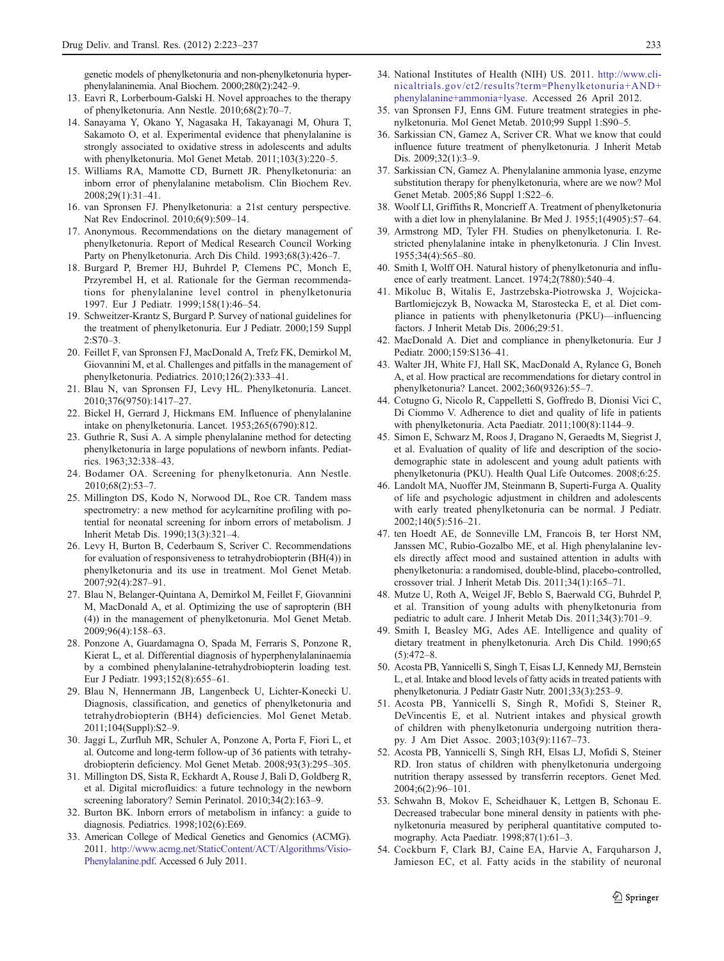<span id="page-10-0"></span>genetic models of phenylketonuria and non-phenylketonuria hyperphenylalaninemia. Anal Biochem. 2000;280(2):242–9.

- 13. Eavri R, Lorberboum-Galski H. Novel approaches to the therapy of phenylketonuria. Ann Nestle. 2010;68(2):70–7.
- 14. Sanayama Y, Okano Y, Nagasaka H, Takayanagi M, Ohura T, Sakamoto O, et al. Experimental evidence that phenylalanine is strongly associated to oxidative stress in adolescents and adults with phenylketonuria. Mol Genet Metab. 2011;103(3):220–5.
- 15. Williams RA, Mamotte CD, Burnett JR. Phenylketonuria: an inborn error of phenylalanine metabolism. Clin Biochem Rev. 2008;29(1):31–41.
- 16. van Spronsen FJ. Phenylketonuria: a 21st century perspective. Nat Rev Endocrinol. 2010;6(9):509–14.
- 17. Anonymous. Recommendations on the dietary management of phenylketonuria. Report of Medical Research Council Working Party on Phenylketonuria. Arch Dis Child. 1993;68(3):426–7.
- 18. Burgard P, Bremer HJ, Buhrdel P, Clemens PC, Monch E, Przyrembel H, et al. Rationale for the German recommendations for phenylalanine level control in phenylketonuria 1997. Eur J Pediatr. 1999;158(1):46–54.
- 19. Schweitzer-Krantz S, Burgard P. Survey of national guidelines for the treatment of phenylketonuria. Eur J Pediatr. 2000;159 Suppl 2:S70–3.
- 20. Feillet F, van Spronsen FJ, MacDonald A, Trefz FK, Demirkol M, Giovannini M, et al. Challenges and pitfalls in the management of phenylketonuria. Pediatrics. 2010;126(2):333–41.
- 21. Blau N, van Spronsen FJ, Levy HL. Phenylketonuria. Lancet. 2010;376(9750):1417–27.
- 22. Bickel H, Gerrard J, Hickmans EM. Influence of phenylalanine intake on phenylketonuria. Lancet. 1953;265(6790):812.
- 23. Guthrie R, Susi A. A simple phenylalanine method for detecting phenylketonuria in large populations of newborn infants. Pediatrics. 1963;32:338–43.
- 24. Bodamer OA. Screening for phenylketonuria. Ann Nestle. 2010;68(2):53–7.
- 25. Millington DS, Kodo N, Norwood DL, Roe CR. Tandem mass spectrometry: a new method for acylcarnitine profiling with potential for neonatal screening for inborn errors of metabolism. J Inherit Metab Dis. 1990;13(3):321–4.
- 26. Levy H, Burton B, Cederbaum S, Scriver C. Recommendations for evaluation of responsiveness to tetrahydrobiopterin (BH(4)) in phenylketonuria and its use in treatment. Mol Genet Metab. 2007;92(4):287–91.
- 27. Blau N, Belanger-Quintana A, Demirkol M, Feillet F, Giovannini M, MacDonald A, et al. Optimizing the use of sapropterin (BH (4)) in the management of phenylketonuria. Mol Genet Metab. 2009;96(4):158–63.
- 28. Ponzone A, Guardamagna O, Spada M, Ferraris S, Ponzone R, Kierat L, et al. Differential diagnosis of hyperphenylalaninaemia by a combined phenylalanine-tetrahydrobiopterin loading test. Eur J Pediatr. 1993;152(8):655–61.
- 29. Blau N, Hennermann JB, Langenbeck U, Lichter-Konecki U. Diagnosis, classification, and genetics of phenylketonuria and tetrahydrobiopterin (BH4) deficiencies. Mol Genet Metab. 2011;104(Suppl):S2–9.
- 30. Jaggi L, Zurfluh MR, Schuler A, Ponzone A, Porta F, Fiori L, et al. Outcome and long-term follow-up of 36 patients with tetrahydrobiopterin deficiency. Mol Genet Metab. 2008;93(3):295–305.
- 31. Millington DS, Sista R, Eckhardt A, Rouse J, Bali D, Goldberg R, et al. Digital microfluidics: a future technology in the newborn screening laboratory? Semin Perinatol. 2010;34(2):163-9.
- 32. Burton BK. Inborn errors of metabolism in infancy: a guide to diagnosis. Pediatrics. 1998;102(6):E69.
- 33. American College of Medical Genetics and Genomics (ACMG). 2011. [http://www.acmg.net/StaticContent/ACT/Algorithms/Visio-](http://www.acmg.net/StaticContent/ACT/Algorithms/Visio-Phenylalanine.pdf)[Phenylalanine.pdf.](http://www.acmg.net/StaticContent/ACT/Algorithms/Visio-Phenylalanine.pdf) Accessed 6 July 2011.
- 34. National Institutes of Health (NIH) US. 2011. [http://www.cli](http://www.clinicaltrials.gov/ct2/results?term=Phenylketonuria+AND+phenylalanine+ammonia+lyase)[nicaltrials.gov/ct2/results?term](http://www.clinicaltrials.gov/ct2/results?term=Phenylketonuria+AND+phenylalanine+ammonia+lyase)=[Phenylketonuria+AND+](http://www.clinicaltrials.gov/ct2/results?term=Phenylketonuria+AND+phenylalanine+ammonia+lyase) [phenylalanine+ammonia+lyase](http://www.clinicaltrials.gov/ct2/results?term=Phenylketonuria+AND+phenylalanine+ammonia+lyase). Accessed 26 April 2012.
- 35. van Spronsen FJ, Enns GM. Future treatment strategies in phenylketonuria. Mol Genet Metab. 2010;99 Suppl 1:S90–5.
- 36. Sarkissian CN, Gamez A, Scriver CR. What we know that could influence future treatment of phenylketonuria. J Inherit Metab Dis. 2009;32(1):3–9.
- 37. Sarkissian CN, Gamez A. Phenylalanine ammonia lyase, enzyme substitution therapy for phenylketonuria, where are we now? Mol Genet Metab. 2005;86 Suppl 1:S22–6.
- 38. Woolf LI, Griffiths R, Moncrieff A. Treatment of phenylketonuria with a diet low in phenylalanine. Br Med J. 1955;1(4905):57–64.
- 39. Armstrong MD, Tyler FH. Studies on phenylketonuria. I. Restricted phenylalanine intake in phenylketonuria. J Clin Invest. 1955;34(4):565–80.
- 40. Smith I, Wolff OH. Natural history of phenylketonuria and influence of early treatment. Lancet. 1974;2(7880):540–4.
- 41. Mikoluc B, Witalis E, Jastrzebska-Piotrowska J, Wojcicka-Bartlomiejczyk B, Nowacka M, Starostecka E, et al. Diet compliance in patients with phenylketonuria (PKU)—influencing factors. J Inherit Metab Dis. 2006;29:51.
- 42. MacDonald A. Diet and compliance in phenylketonuria. Eur J Pediatr. 2000;159:S136–41.
- 43. Walter JH, White FJ, Hall SK, MacDonald A, Rylance G, Boneh A, et al. How practical are recommendations for dietary control in phenylketonuria? Lancet. 2002;360(9326):55–7.
- 44. Cotugno G, Nicolo R, Cappelletti S, Goffredo B, Dionisi Vici C, Di Ciommo V. Adherence to diet and quality of life in patients with phenylketonuria. Acta Paediatr. 2011;100(8):1144–9.
- 45. Simon E, Schwarz M, Roos J, Dragano N, Geraedts M, Siegrist J, et al. Evaluation of quality of life and description of the sociodemographic state in adolescent and young adult patients with phenylketonuria (PKU). Health Qual Life Outcomes. 2008;6:25.
- 46. Landolt MA, Nuoffer JM, Steinmann B, Superti-Furga A. Quality of life and psychologic adjustment in children and adolescents with early treated phenylketonuria can be normal. J Pediatr. 2002;140(5):516–21.
- 47. ten Hoedt AE, de Sonneville LM, Francois B, ter Horst NM, Janssen MC, Rubio-Gozalbo ME, et al. High phenylalanine levels directly affect mood and sustained attention in adults with phenylketonuria: a randomised, double-blind, placebo-controlled, crossover trial. J Inherit Metab Dis. 2011;34(1):165–71.
- 48. Mutze U, Roth A, Weigel JF, Beblo S, Baerwald CG, Buhrdel P, et al. Transition of young adults with phenylketonuria from pediatric to adult care. J Inherit Metab Dis. 2011;34(3):701–9.
- 49. Smith I, Beasley MG, Ades AE. Intelligence and quality of dietary treatment in phenylketonuria. Arch Dis Child. 1990;65  $(5):472-8.$
- 50. Acosta PB, Yannicelli S, Singh T, Eisas LJ, Kennedy MJ, Bernstein L, et al. Intake and blood levels of fatty acids in treated patients with phenylketonuria. J Pediatr Gastr Nutr. 2001;33(3):253–9.
- 51. Acosta PB, Yannicelli S, Singh R, Mofidi S, Steiner R, DeVincentis E, et al. Nutrient intakes and physical growth of children with phenylketonuria undergoing nutrition therapy. J Am Diet Assoc. 2003;103(9):1167–73.
- 52. Acosta PB, Yannicelli S, Singh RH, Elsas LJ, Mofidi S, Steiner RD. Iron status of children with phenylketonuria undergoing nutrition therapy assessed by transferrin receptors. Genet Med. 2004;6(2):96–101.
- 53. Schwahn B, Mokov E, Scheidhauer K, Lettgen B, Schonau E. Decreased trabecular bone mineral density in patients with phenylketonuria measured by peripheral quantitative computed tomography. Acta Paediatr. 1998;87(1):61–3.
- 54. Cockburn F, Clark BJ, Caine EA, Harvie A, Farquharson J, Jamieson EC, et al. Fatty acids in the stability of neuronal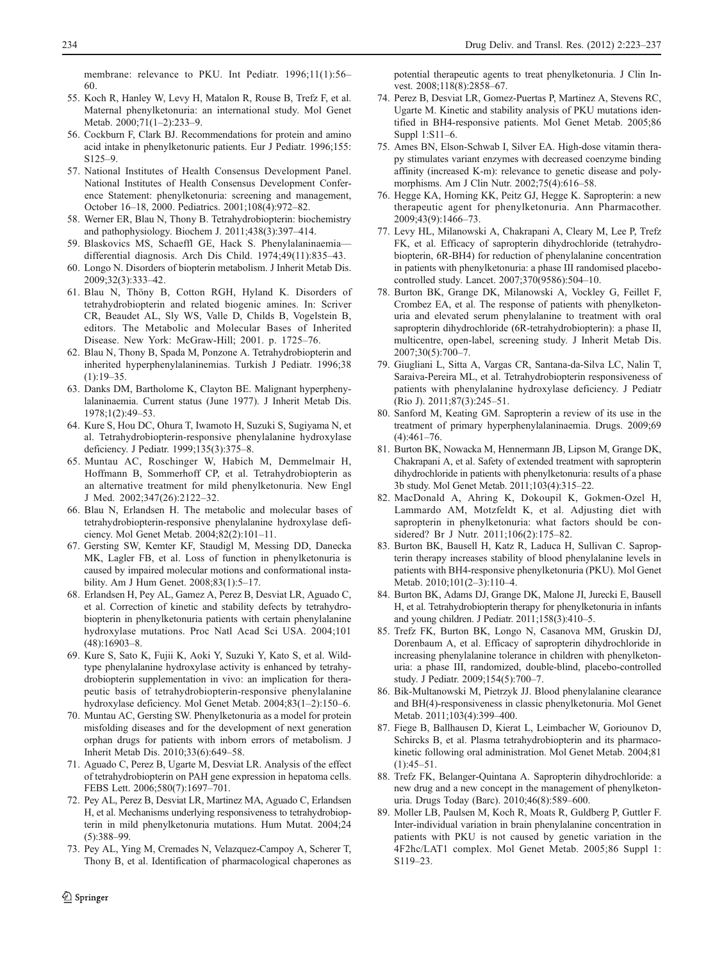<span id="page-11-0"></span>membrane: relevance to PKU. Int Pediatr. 1996;11(1):56–

- 60. 55. Koch R, Hanley W, Levy H, Matalon R, Rouse B, Trefz F, et al. Maternal phenylketonuria: an international study. Mol Genet Metab. 2000;71(1–2):233–9.
- 56. Cockburn F, Clark BJ. Recommendations for protein and amino acid intake in phenylketonuric patients. Eur J Pediatr. 1996;155: S125–9.
- 57. National Institutes of Health Consensus Development Panel. National Institutes of Health Consensus Development Conference Statement: phenylketonuria: screening and management, October 16–18, 2000. Pediatrics. 2001;108(4):972–82.
- 58. Werner ER, Blau N, Thony B. Tetrahydrobiopterin: biochemistry and pathophysiology. Biochem J. 2011;438(3):397–414.
- 59. Blaskovics MS, Schaeffl GE, Hack S. Phenylalaninaemia differential diagnosis. Arch Dis Child. 1974;49(11):835–43.
- 60. Longo N. Disorders of biopterin metabolism. J Inherit Metab Dis. 2009;32(3):333–42.
- 61. Blau N, Thöny B, Cotton RGH, Hyland K. Disorders of tetrahydrobiopterin and related biogenic amines. In: Scriver CR, Beaudet AL, Sly WS, Valle D, Childs B, Vogelstein B, editors. The Metabolic and Molecular Bases of Inherited Disease. New York: McGraw-Hill; 2001. p. 1725–76.
- 62. Blau N, Thony B, Spada M, Ponzone A. Tetrahydrobiopterin and inherited hyperphenylalaninemias. Turkish J Pediatr. 1996;38  $(1):19-35.$
- 63. Danks DM, Bartholome K, Clayton BE. Malignant hyperphenylalaninaemia. Current status (June 1977). J Inherit Metab Dis. 1978;1(2):49–53.
- 64. Kure S, Hou DC, Ohura T, Iwamoto H, Suzuki S, Sugiyama N, et al. Tetrahydrobiopterin-responsive phenylalanine hydroxylase deficiency. J Pediatr. 1999;135(3):375–8.
- 65. Muntau AC, Roschinger W, Habich M, Demmelmair H, Hoffmann B, Sommerhoff CP, et al. Tetrahydrobiopterin as an alternative treatment for mild phenylketonuria. New Engl J Med. 2002;347(26):2122–32.
- 66. Blau N, Erlandsen H. The metabolic and molecular bases of tetrahydrobiopterin-responsive phenylalanine hydroxylase deficiency. Mol Genet Metab. 2004;82(2):101–11.
- 67. Gersting SW, Kemter KF, Staudigl M, Messing DD, Danecka MK, Lagler FB, et al. Loss of function in phenylketonuria is caused by impaired molecular motions and conformational instability. Am J Hum Genet. 2008;83(1):5–17.
- 68. Erlandsen H, Pey AL, Gamez A, Perez B, Desviat LR, Aguado C, et al. Correction of kinetic and stability defects by tetrahydrobiopterin in phenylketonuria patients with certain phenylalanine hydroxylase mutations. Proc Natl Acad Sci USA. 2004;101 (48):16903–8.
- 69. Kure S, Sato K, Fujii K, Aoki Y, Suzuki Y, Kato S, et al. Wildtype phenylalanine hydroxylase activity is enhanced by tetrahydrobiopterin supplementation in vivo: an implication for therapeutic basis of tetrahydrobiopterin-responsive phenylalanine hydroxylase deficiency. Mol Genet Metab. 2004;83(1–2):150–6.
- 70. Muntau AC, Gersting SW. Phenylketonuria as a model for protein misfolding diseases and for the development of next generation orphan drugs for patients with inborn errors of metabolism. J Inherit Metab Dis. 2010;33(6):649–58.
- 71. Aguado C, Perez B, Ugarte M, Desviat LR. Analysis of the effect of tetrahydrobiopterin on PAH gene expression in hepatoma cells. FEBS Lett. 2006;580(7):1697–701.
- 72. Pey AL, Perez B, Desviat LR, Martinez MA, Aguado C, Erlandsen H, et al. Mechanisms underlying responsiveness to tetrahydrobiopterin in mild phenylketonuria mutations. Hum Mutat. 2004;24 (5):388–99.
- 73. Pey AL, Ying M, Cremades N, Velazquez-Campoy A, Scherer T, Thony B, et al. Identification of pharmacological chaperones as

potential therapeutic agents to treat phenylketonuria. J Clin Invest. 2008;118(8):2858-67.

- 74. Perez B, Desviat LR, Gomez-Puertas P, Martinez A, Stevens RC, Ugarte M. Kinetic and stability analysis of PKU mutations identified in BH4-responsive patients. Mol Genet Metab. 2005;86 Suppl 1:S11–6.
- 75. Ames BN, Elson-Schwab I, Silver EA. High-dose vitamin therapy stimulates variant enzymes with decreased coenzyme binding affinity (increased K-m): relevance to genetic disease and polymorphisms. Am J Clin Nutr. 2002;75(4):616–58.
- 76. Hegge KA, Horning KK, Peitz GJ, Hegge K. Sapropterin: a new therapeutic agent for phenylketonuria. Ann Pharmacother. 2009;43(9):1466–73.
- 77. Levy HL, Milanowski A, Chakrapani A, Cleary M, Lee P, Trefz FK, et al. Efficacy of sapropterin dihydrochloride (tetrahydrobiopterin, 6R-BH4) for reduction of phenylalanine concentration in patients with phenylketonuria: a phase III randomised placebocontrolled study. Lancet. 2007;370(9586):504–10.
- 78. Burton BK, Grange DK, Milanowski A, Vockley G, Feillet F, Crombez EA, et al. The response of patients with phenylketonuria and elevated serum phenylalanine to treatment with oral sapropterin dihydrochloride (6R-tetrahydrobiopterin): a phase II, multicentre, open-label, screening study. J Inherit Metab Dis. 2007;30(5):700–7.
- 79. Giugliani L, Sitta A, Vargas CR, Santana-da-Silva LC, Nalin T, Saraiva-Pereira ML, et al. Tetrahydrobiopterin responsiveness of patients with phenylalanine hydroxylase deficiency. J Pediatr (Rio J). 2011;87(3):245–51.
- 80. Sanford M, Keating GM. Sapropterin a review of its use in the treatment of primary hyperphenylalaninaemia. Drugs. 2009;69 (4):461–76.
- 81. Burton BK, Nowacka M, Hennermann JB, Lipson M, Grange DK, Chakrapani A, et al. Safety of extended treatment with sapropterin dihydrochloride in patients with phenylketonuria: results of a phase 3b study. Mol Genet Metab. 2011;103(4):315–22.
- 82. MacDonald A, Ahring K, Dokoupil K, Gokmen-Ozel H, Lammardo AM, Motzfeldt K, et al. Adjusting diet with sapropterin in phenylketonuria: what factors should be considered? Br J Nutr. 2011;106(2):175–82.
- 83. Burton BK, Bausell H, Katz R, Laduca H, Sullivan C. Sapropterin therapy increases stability of blood phenylalanine levels in patients with BH4-responsive phenylketonuria (PKU). Mol Genet Metab. 2010;101(2–3):110–4.
- 84. Burton BK, Adams DJ, Grange DK, Malone JI, Jurecki E, Bausell H, et al. Tetrahydrobiopterin therapy for phenylketonuria in infants and young children. J Pediatr. 2011;158(3):410–5.
- 85. Trefz FK, Burton BK, Longo N, Casanova MM, Gruskin DJ, Dorenbaum A, et al. Efficacy of sapropterin dihydrochloride in increasing phenylalanine tolerance in children with phenylketonuria: a phase III, randomized, double-blind, placebo-controlled study. J Pediatr. 2009;154(5):700–7.
- 86. Bik-Multanowski M, Pietrzyk JJ. Blood phenylalanine clearance and BH(4)-responsiveness in classic phenylketonuria. Mol Genet Metab. 2011;103(4):399–400.
- 87. Fiege B, Ballhausen D, Kierat L, Leimbacher W, Goriounov D, Schircks B, et al. Plasma tetrahydrobiopterin and its pharmacokinetic following oral administration. Mol Genet Metab. 2004;81  $(1):45-51.$
- 88. Trefz FK, Belanger-Quintana A. Sapropterin dihydrochloride: a new drug and a new concept in the management of phenylketonuria. Drugs Today (Barc). 2010;46(8):589–600.
- 89. Moller LB, Paulsen M, Koch R, Moats R, Guldberg P, Guttler F. Inter-individual variation in brain phenylalanine concentration in patients with PKU is not caused by genetic variation in the 4F2hc/LAT1 complex. Mol Genet Metab. 2005;86 Suppl 1: S119–23.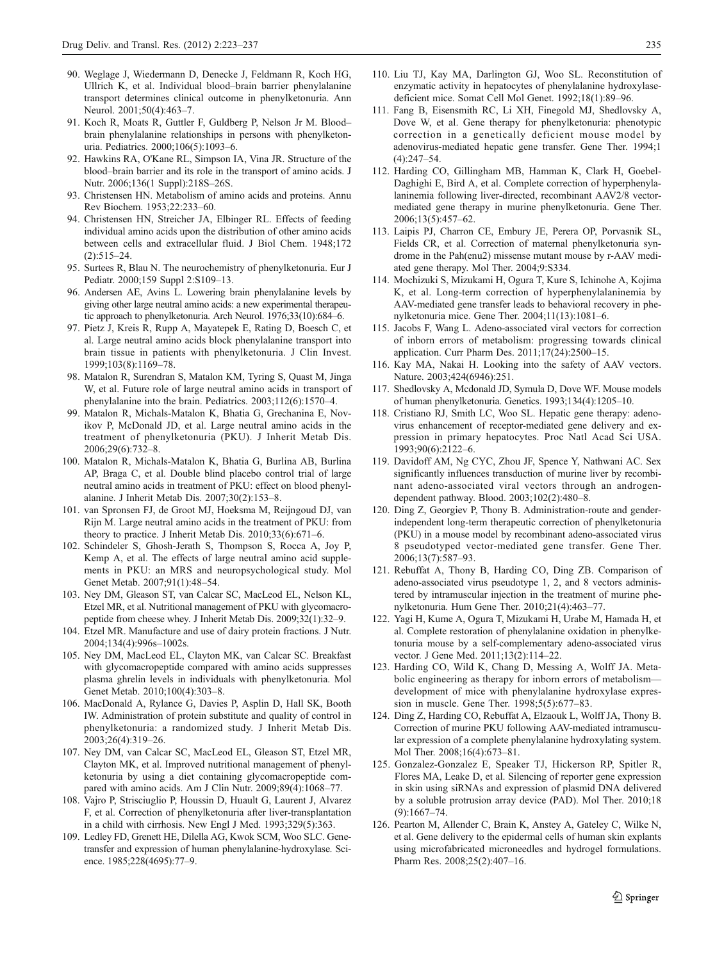- <span id="page-12-0"></span>90. Weglage J, Wiedermann D, Denecke J, Feldmann R, Koch HG, Ullrich K, et al. Individual blood–brain barrier phenylalanine transport determines clinical outcome in phenylketonuria. Ann Neurol. 2001;50(4):463–7.
- 91. Koch R, Moats R, Guttler F, Guldberg P, Nelson Jr M. Blood– brain phenylalanine relationships in persons with phenylketonuria. Pediatrics. 2000;106(5):1093–6.
- 92. Hawkins RA, O'Kane RL, Simpson IA, Vina JR. Structure of the blood–brain barrier and its role in the transport of amino acids. J Nutr. 2006;136(1 Suppl):218S–26S.
- 93. Christensen HN. Metabolism of amino acids and proteins. Annu Rev Biochem. 1953;22:233–60.
- 94. Christensen HN, Streicher JA, Elbinger RL. Effects of feeding individual amino acids upon the distribution of other amino acids between cells and extracellular fluid. J Biol Chem. 1948;172  $(2):515-24.$
- 95. Surtees R, Blau N. The neurochemistry of phenylketonuria. Eur J Pediatr. 2000;159 Suppl 2:S109–13.
- 96. Andersen AE, Avins L. Lowering brain phenylalanine levels by giving other large neutral amino acids: a new experimental therapeutic approach to phenylketonuria. Arch Neurol. 1976;33(10):684–6.
- 97. Pietz J, Kreis R, Rupp A, Mayatepek E, Rating D, Boesch C, et al. Large neutral amino acids block phenylalanine transport into brain tissue in patients with phenylketonuria. J Clin Invest. 1999;103(8):1169–78.
- 98. Matalon R, Surendran S, Matalon KM, Tyring S, Quast M, Jinga W, et al. Future role of large neutral amino acids in transport of phenylalanine into the brain. Pediatrics. 2003;112(6):1570–4.
- 99. Matalon R, Michals-Matalon K, Bhatia G, Grechanina E, Novikov P, McDonald JD, et al. Large neutral amino acids in the treatment of phenylketonuria (PKU). J Inherit Metab Dis. 2006;29(6):732–8.
- 100. Matalon R, Michals-Matalon K, Bhatia G, Burlina AB, Burlina AP, Braga C, et al. Double blind placebo control trial of large neutral amino acids in treatment of PKU: effect on blood phenylalanine. J Inherit Metab Dis. 2007;30(2):153–8.
- 101. van Spronsen FJ, de Groot MJ, Hoeksma M, Reijngoud DJ, van Rijn M. Large neutral amino acids in the treatment of PKU: from theory to practice. J Inherit Metab Dis. 2010;33(6):671–6.
- 102. Schindeler S, Ghosh-Jerath S, Thompson S, Rocca A, Joy P, Kemp A, et al. The effects of large neutral amino acid supplements in PKU: an MRS and neuropsychological study. Mol Genet Metab. 2007;91(1):48–54.
- 103. Ney DM, Gleason ST, van Calcar SC, MacLeod EL, Nelson KL, Etzel MR, et al. Nutritional management of PKU with glycomacropeptide from cheese whey. J Inherit Metab Dis. 2009;32(1):32–9.
- 104. Etzel MR. Manufacture and use of dairy protein fractions. J Nutr. 2004;134(4):996s–1002s.
- 105. Ney DM, MacLeod EL, Clayton MK, van Calcar SC. Breakfast with glycomacropeptide compared with amino acids suppresses plasma ghrelin levels in individuals with phenylketonuria. Mol Genet Metab. 2010;100(4):303–8.
- 106. MacDonald A, Rylance G, Davies P, Asplin D, Hall SK, Booth IW. Administration of protein substitute and quality of control in phenylketonuria: a randomized study. J Inherit Metab Dis. 2003;26(4):319–26.
- 107. Ney DM, van Calcar SC, MacLeod EL, Gleason ST, Etzel MR, Clayton MK, et al. Improved nutritional management of phenylketonuria by using a diet containing glycomacropeptide compared with amino acids. Am J Clin Nutr. 2009;89(4):1068–77.
- 108. Vajro P, Strisciuglio P, Houssin D, Huault G, Laurent J, Alvarez F, et al. Correction of phenylketonuria after liver-transplantation in a child with cirrhosis. New Engl J Med. 1993;329(5):363.
- 109. Ledley FD, Grenett HE, Dilella AG, Kwok SCM, Woo SLC. Genetransfer and expression of human phenylalanine-hydroxylase. Science. 1985;228(4695):77–9.
- 110. Liu TJ, Kay MA, Darlington GJ, Woo SL. Reconstitution of enzymatic activity in hepatocytes of phenylalanine hydroxylasedeficient mice. Somat Cell Mol Genet. 1992;18(1):89–96.
- 111. Fang B, Eisensmith RC, Li XH, Finegold MJ, Shedlovsky A, Dove W, et al. Gene therapy for phenylketonuria: phenotypic correction in a genetically deficient mouse model by adenovirus-mediated hepatic gene transfer. Gene Ther. 1994;1 (4):247–54.
- 112. Harding CO, Gillingham MB, Hamman K, Clark H, Goebel-Daghighi E, Bird A, et al. Complete correction of hyperphenylalaninemia following liver-directed, recombinant AAV2/8 vectormediated gene therapy in murine phenylketonuria. Gene Ther. 2006;13(5):457–62.
- 113. Laipis PJ, Charron CE, Embury JE, Perera OP, Porvasnik SL, Fields CR, et al. Correction of maternal phenylketonuria syndrome in the Pah(enu2) missense mutant mouse by r-AAV mediated gene therapy. Mol Ther. 2004;9:S334.
- 114. Mochizuki S, Mizukami H, Ogura T, Kure S, Ichinohe A, Kojima K, et al. Long-term correction of hyperphenylalaninemia by AAV-mediated gene transfer leads to behavioral recovery in phenylketonuria mice. Gene Ther. 2004;11(13):1081–6.
- 115. Jacobs F, Wang L. Adeno-associated viral vectors for correction of inborn errors of metabolism: progressing towards clinical application. Curr Pharm Des. 2011;17(24):2500–15.
- 116. Kay MA, Nakai H. Looking into the safety of AAV vectors. Nature. 2003;424(6946):251.
- 117. Shedlovsky A, Mcdonald JD, Symula D, Dove WF. Mouse models of human phenylketonuria. Genetics. 1993;134(4):1205–10.
- 118. Cristiano RJ, Smith LC, Woo SL. Hepatic gene therapy: adenovirus enhancement of receptor-mediated gene delivery and expression in primary hepatocytes. Proc Natl Acad Sci USA. 1993;90(6):2122–6.
- 119. Davidoff AM, Ng CYC, Zhou JF, Spence Y, Nathwani AC. Sex significantly influences transduction of murine liver by recombinant adeno-associated viral vectors through an androgendependent pathway. Blood. 2003;102(2):480–8.
- 120. Ding Z, Georgiev P, Thony B. Administration-route and genderindependent long-term therapeutic correction of phenylketonuria (PKU) in a mouse model by recombinant adeno-associated virus 8 pseudotyped vector-mediated gene transfer. Gene Ther. 2006;13(7):587–93.
- 121. Rebuffat A, Thony B, Harding CO, Ding ZB. Comparison of adeno-associated virus pseudotype 1, 2, and 8 vectors administered by intramuscular injection in the treatment of murine phenylketonuria. Hum Gene Ther. 2010;21(4):463–77.
- 122. Yagi H, Kume A, Ogura T, Mizukami H, Urabe M, Hamada H, et al. Complete restoration of phenylalanine oxidation in phenylketonuria mouse by a self-complementary adeno-associated virus vector. J Gene Med. 2011;13(2):114–22.
- 123. Harding CO, Wild K, Chang D, Messing A, Wolff JA. Metabolic engineering as therapy for inborn errors of metabolism development of mice with phenylalanine hydroxylase expression in muscle. Gene Ther. 1998;5(5):677–83.
- 124. Ding Z, Harding CO, Rebuffat A, Elzaouk L, Wolff JA, Thony B. Correction of murine PKU following AAV-mediated intramuscular expression of a complete phenylalanine hydroxylating system. Mol Ther. 2008;16(4):673–81.
- 125. Gonzalez-Gonzalez E, Speaker TJ, Hickerson RP, Spitler R, Flores MA, Leake D, et al. Silencing of reporter gene expression in skin using siRNAs and expression of plasmid DNA delivered by a soluble protrusion array device (PAD). Mol Ther. 2010;18 (9):1667–74.
- 126. Pearton M, Allender C, Brain K, Anstey A, Gateley C, Wilke N, et al. Gene delivery to the epidermal cells of human skin explants using microfabricated microneedles and hydrogel formulations. Pharm Res. 2008;25(2):407–16.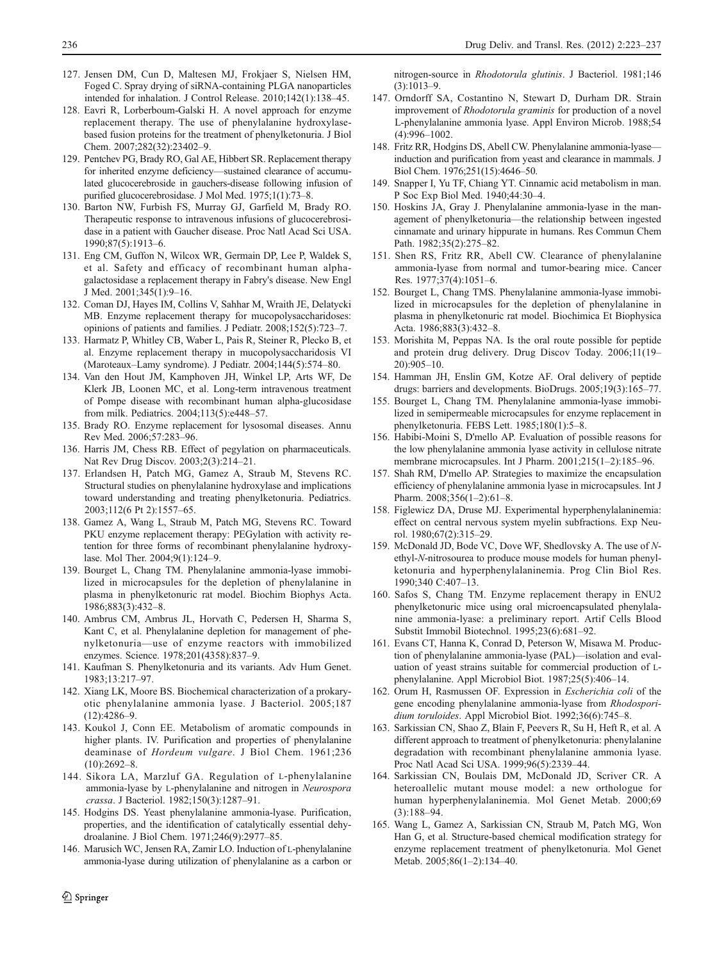- <span id="page-13-0"></span>127. Jensen DM, Cun D, Maltesen MJ, Frokjaer S, Nielsen HM, Foged C. Spray drying of siRNA-containing PLGA nanoparticles intended for inhalation. J Control Release. 2010;142(1):138–45.
- 128. Eavri R, Lorberboum-Galski H. A novel approach for enzyme replacement therapy. The use of phenylalanine hydroxylasebased fusion proteins for the treatment of phenylketonuria. J Biol Chem. 2007;282(32):23402–9.
- 129. Pentchev PG, Brady RO, Gal AE, Hibbert SR. Replacement therapy for inherited enzyme deficiency—sustained clearance of accumulated glucocerebroside in gauchers-disease following infusion of purified glucocerebrosidase. J Mol Med. 1975;1(1):73–8.
- 130. Barton NW, Furbish FS, Murray GJ, Garfield M, Brady RO. Therapeutic response to intravenous infusions of glucocerebrosidase in a patient with Gaucher disease. Proc Natl Acad Sci USA. 1990;87(5):1913–6.
- 131. Eng CM, Guffon N, Wilcox WR, Germain DP, Lee P, Waldek S, et al. Safety and efficacy of recombinant human alphagalactosidase a replacement therapy in Fabry's disease. New Engl J Med. 2001;345(1):9–16.
- 132. Coman DJ, Hayes IM, Collins V, Sahhar M, Wraith JE, Delatycki MB. Enzyme replacement therapy for mucopolysaccharidoses: opinions of patients and families. J Pediatr. 2008;152(5):723–7.
- 133. Harmatz P, Whitley CB, Waber L, Pais R, Steiner R, Plecko B, et al. Enzyme replacement therapy in mucopolysaccharidosis VI (Maroteaux–Lamy syndrome). J Pediatr. 2004;144(5):574–80.
- 134. Van den Hout JM, Kamphoven JH, Winkel LP, Arts WF, De Klerk JB, Loonen MC, et al. Long-term intravenous treatment of Pompe disease with recombinant human alpha-glucosidase from milk. Pediatrics. 2004;113(5):e448–57.
- 135. Brady RO. Enzyme replacement for lysosomal diseases. Annu Rev Med. 2006;57:283–96.
- 136. Harris JM, Chess RB. Effect of pegylation on pharmaceuticals. Nat Rev Drug Discov. 2003;2(3):214–21.
- 137. Erlandsen H, Patch MG, Gamez A, Straub M, Stevens RC. Structural studies on phenylalanine hydroxylase and implications toward understanding and treating phenylketonuria. Pediatrics. 2003;112(6 Pt 2):1557–65.
- 138. Gamez A, Wang L, Straub M, Patch MG, Stevens RC. Toward PKU enzyme replacement therapy: PEGylation with activity retention for three forms of recombinant phenylalanine hydroxylase. Mol Ther. 2004;9(1):124–9.
- 139. Bourget L, Chang TM. Phenylalanine ammonia-lyase immobilized in microcapsules for the depletion of phenylalanine in plasma in phenylketonuric rat model. Biochim Biophys Acta. 1986;883(3):432–8.
- 140. Ambrus CM, Ambrus JL, Horvath C, Pedersen H, Sharma S, Kant C, et al. Phenylalanine depletion for management of phenylketonuria—use of enzyme reactors with immobilized enzymes. Science. 1978;201(4358):837–9.
- 141. Kaufman S. Phenylketonuria and its variants. Adv Hum Genet. 1983;13:217–97.
- 142. Xiang LK, Moore BS. Biochemical characterization of a prokaryotic phenylalanine ammonia lyase. J Bacteriol. 2005;187  $(12):4286-9.$
- 143. Koukol J, Conn EE. Metabolism of aromatic compounds in higher plants. IV. Purification and properties of phenylalanine deaminase of Hordeum vulgare. J Biol Chem. 1961;236  $(10):2692-8.$
- 144. Sikora LA, Marzluf GA. Regulation of L-phenylalanine ammonia-lyase by L-phenylalanine and nitrogen in Neurospora crassa. J Bacteriol. 1982;150(3):1287–91.
- 145. Hodgins DS. Yeast phenylalanine ammonia-lyase. Purification, properties, and the identification of catalytically essential dehydroalanine. J Biol Chem. 1971;246(9):2977–85.
- 146. Marusich WC, Jensen RA, Zamir LO. Induction of L-phenylalanine ammonia-lyase during utilization of phenylalanine as a carbon or

nitrogen-source in Rhodotorula glutinis. J Bacteriol. 1981;146  $(3):1013-9$ 

- 147. Orndorff SA, Costantino N, Stewart D, Durham DR. Strain improvement of Rhodotorula graminis for production of a novel L-phenylalanine ammonia lyase. Appl Environ Microb. 1988;54 (4):996–1002.
- 148. Fritz RR, Hodgins DS, Abell CW. Phenylalanine ammonia-lyase induction and purification from yeast and clearance in mammals. J Biol Chem. 1976;251(15):4646–50.
- 149. Snapper I, Yu TF, Chiang YT. Cinnamic acid metabolism in man. P Soc Exp Biol Med. 1940;44:30–4.
- 150. Hoskins JA, Gray J. Phenylalanine ammonia-lyase in the management of phenylketonuria—the relationship between ingested cinnamate and urinary hippurate in humans. Res Commun Chem Path. 1982;35(2):275–82.
- 151. Shen RS, Fritz RR, Abell CW. Clearance of phenylalanine ammonia-lyase from normal and tumor-bearing mice. Cancer Res. 1977;37(4):1051–6.
- 152. Bourget L, Chang TMS. Phenylalanine ammonia-lyase immobilized in microcapsules for the depletion of phenylalanine in plasma in phenylketonuric rat model. Biochimica Et Biophysica Acta. 1986;883(3):432–8.
- 153. Morishita M, Peppas NA. Is the oral route possible for peptide and protein drug delivery. Drug Discov Today. 2006;11(19– 20):905–10.
- 154. Hamman JH, Enslin GM, Kotze AF. Oral delivery of peptide drugs: barriers and developments. BioDrugs. 2005;19(3):165–77.
- 155. Bourget L, Chang TM. Phenylalanine ammonia-lyase immobilized in semipermeable microcapsules for enzyme replacement in phenylketonuria. FEBS Lett. 1985;180(1):5–8.
- 156. Habibi-Moini S, D'mello AP. Evaluation of possible reasons for the low phenylalanine ammonia lyase activity in cellulose nitrate membrane microcapsules. Int J Pharm. 2001;215(1–2):185–96.
- 157. Shah RM, D'mello AP. Strategies to maximize the encapsulation efficiency of phenylalanine ammonia lyase in microcapsules. Int J Pharm. 2008;356(1–2):61–8.
- 158. Figlewicz DA, Druse MJ. Experimental hyperphenylalaninemia: effect on central nervous system myelin subfractions. Exp Neurol. 1980;67(2):315–29.
- 159. McDonald JD, Bode VC, Dove WF, Shedlovsky A. The use of Nethyl-N-nitrosourea to produce mouse models for human phenylketonuria and hyperphenylalaninemia. Prog Clin Biol Res. 1990;340 C:407–13.
- 160. Safos S, Chang TM. Enzyme replacement therapy in ENU2 phenylketonuric mice using oral microencapsulated phenylalanine ammonia-lyase: a preliminary report. Artif Cells Blood Substit Immobil Biotechnol. 1995;23(6):681–92.
- 161. Evans CT, Hanna K, Conrad D, Peterson W, Misawa M. Production of phenylalanine ammonia-lyase (PAL)—isolation and evaluation of yeast strains suitable for commercial production of Lphenylalanine. Appl Microbiol Biot. 1987;25(5):406–14.
- 162. Orum H, Rasmussen OF. Expression in Escherichia coli of the gene encoding phenylalanine ammonia-lyase from Rhodosporidium toruloides. Appl Microbiol Biot. 1992;36(6):745–8.
- 163. Sarkissian CN, Shao Z, Blain F, Peevers R, Su H, Heft R, et al. A different approach to treatment of phenylketonuria: phenylalanine degradation with recombinant phenylalanine ammonia lyase. Proc Natl Acad Sci USA. 1999;96(5):2339–44.
- 164. Sarkissian CN, Boulais DM, McDonald JD, Scriver CR. A heteroallelic mutant mouse model: a new orthologue for human hyperphenylalaninemia. Mol Genet Metab. 2000;69 (3):188–94.
- 165. Wang L, Gamez A, Sarkissian CN, Straub M, Patch MG, Won Han G, et al. Structure-based chemical modification strategy for enzyme replacement treatment of phenylketonuria. Mol Genet Metab. 2005;86(1–2):134–40.